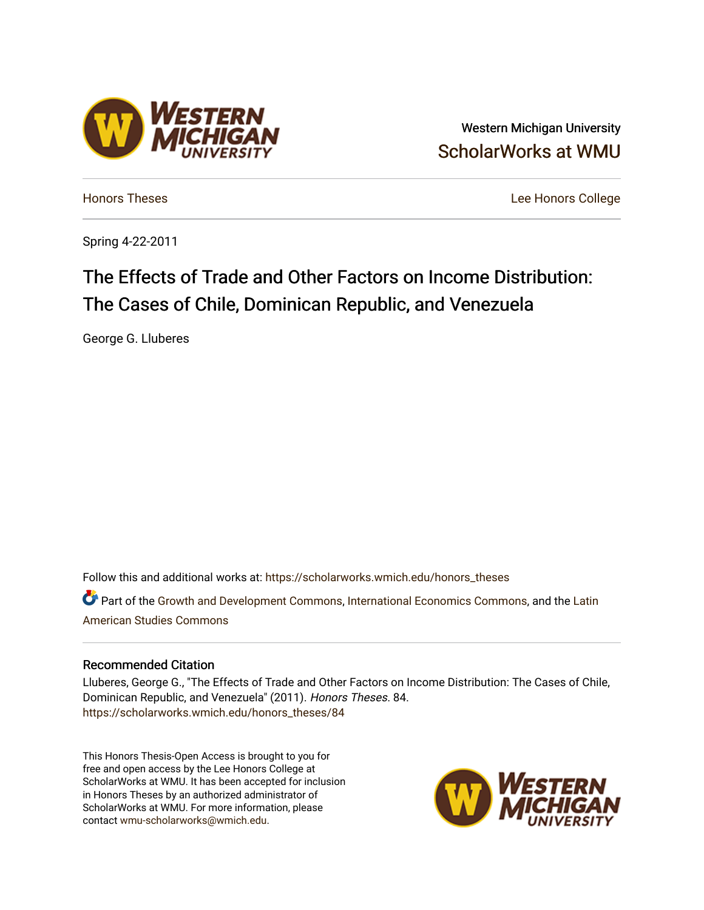# Western Michigan University [ScholarWorks at WMU](https://scholarworks.wmich.edu/)

[Honors Theses](https://scholarworks.wmich.edu/honors_theses) [Lee Honors College](https://scholarworks.wmich.edu/honors) 

Spring 4-22-2011

# The Effects of Trade and Other Factors on Income Distribution: The Cases of Chile, Dominican Republic, and Venezuela

George G. Lluberes

Follow this and additional works at: [https://scholarworks.wmich.edu/honors\\_theses](https://scholarworks.wmich.edu/honors_theses?utm_source=scholarworks.wmich.edu%2Fhonors_theses%2F84&utm_medium=PDF&utm_campaign=PDFCoverPages)

Part of the [Growth and Development Commons,](http://network.bepress.com/hgg/discipline/346?utm_source=scholarworks.wmich.edu%2Fhonors_theses%2F84&utm_medium=PDF&utm_campaign=PDFCoverPages) [International Economics Commons,](http://network.bepress.com/hgg/discipline/348?utm_source=scholarworks.wmich.edu%2Fhonors_theses%2F84&utm_medium=PDF&utm_campaign=PDFCoverPages) and the Latin [American Studies Commons](http://network.bepress.com/hgg/discipline/363?utm_source=scholarworks.wmich.edu%2Fhonors_theses%2F84&utm_medium=PDF&utm_campaign=PDFCoverPages) 

## Recommended Citation

Lluberes, George G., "The Effects of Trade and Other Factors on Income Distribution: The Cases of Chile, Dominican Republic, and Venezuela" (2011). Honors Theses. 84. [https://scholarworks.wmich.edu/honors\\_theses/84](https://scholarworks.wmich.edu/honors_theses/84?utm_source=scholarworks.wmich.edu%2Fhonors_theses%2F84&utm_medium=PDF&utm_campaign=PDFCoverPages) 

This Honors Thesis-Open Access is brought to you for free and open access by the Lee Honors College at ScholarWorks at WMU. It has been accepted for inclusion in Honors Theses by an authorized administrator of ScholarWorks at WMU. For more information, please contact [wmu-scholarworks@wmich.edu](mailto:wmu-scholarworks@wmich.edu).



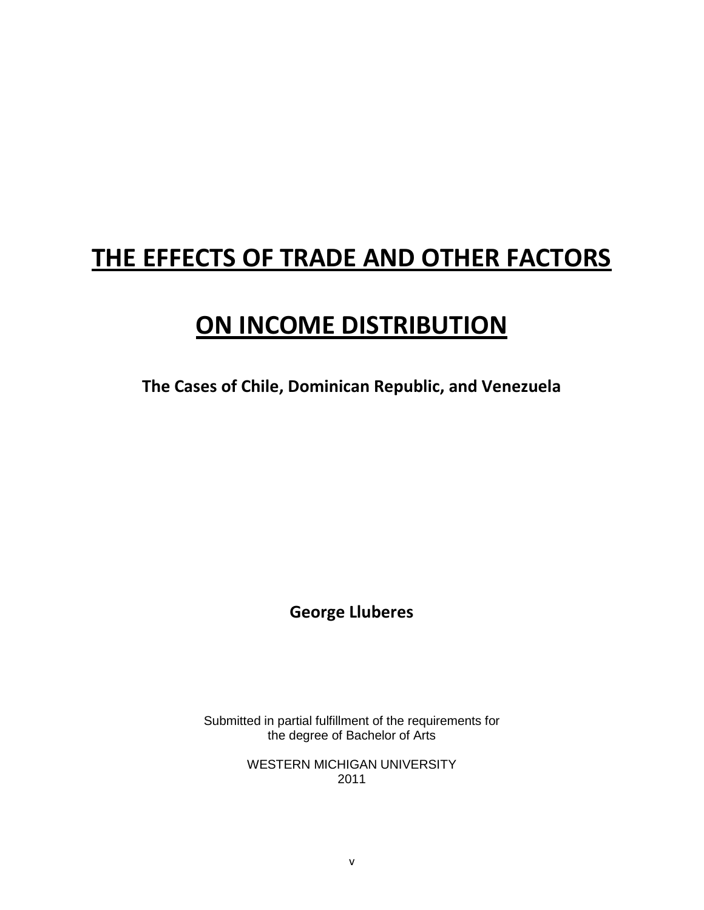# **THE EFFECTS OF TRADE AND OTHER FACTORS**

# **ON INCOME DISTRIBUTION**

**The Cases of Chile, Dominican Republic, and Venezuela**

**George Lluberes**

Submitted in partial fulfillment of the requirements for the degree of Bachelor of Arts

> WESTERN MICHIGAN UNIVERSITY 2011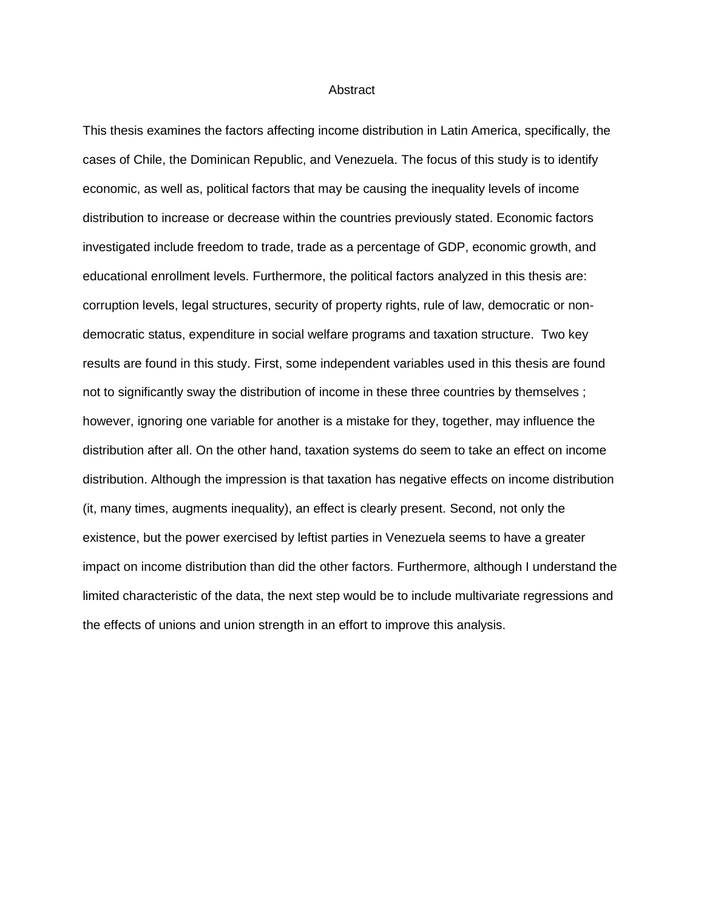#### **Abstract**

This thesis examines the factors affecting income distribution in Latin America, specifically, the cases of Chile, the Dominican Republic, and Venezuela. The focus of this study is to identify economic, as well as, political factors that may be causing the inequality levels of income distribution to increase or decrease within the countries previously stated. Economic factors investigated include freedom to trade, trade as a percentage of GDP, economic growth, and educational enrollment levels. Furthermore, the political factors analyzed in this thesis are: corruption levels, legal structures, security of property rights, rule of law, democratic or nondemocratic status, expenditure in social welfare programs and taxation structure. Two key results are found in this study. First, some independent variables used in this thesis are found not to significantly sway the distribution of income in these three countries by themselves ; however, ignoring one variable for another is a mistake for they, together, may influence the distribution after all. On the other hand, taxation systems do seem to take an effect on income distribution. Although the impression is that taxation has negative effects on income distribution (it, many times, augments inequality), an effect is clearly present. Second, not only the existence, but the power exercised by leftist parties in Venezuela seems to have a greater impact on income distribution than did the other factors. Furthermore, although I understand the limited characteristic of the data, the next step would be to include multivariate regressions and the effects of unions and union strength in an effort to improve this analysis.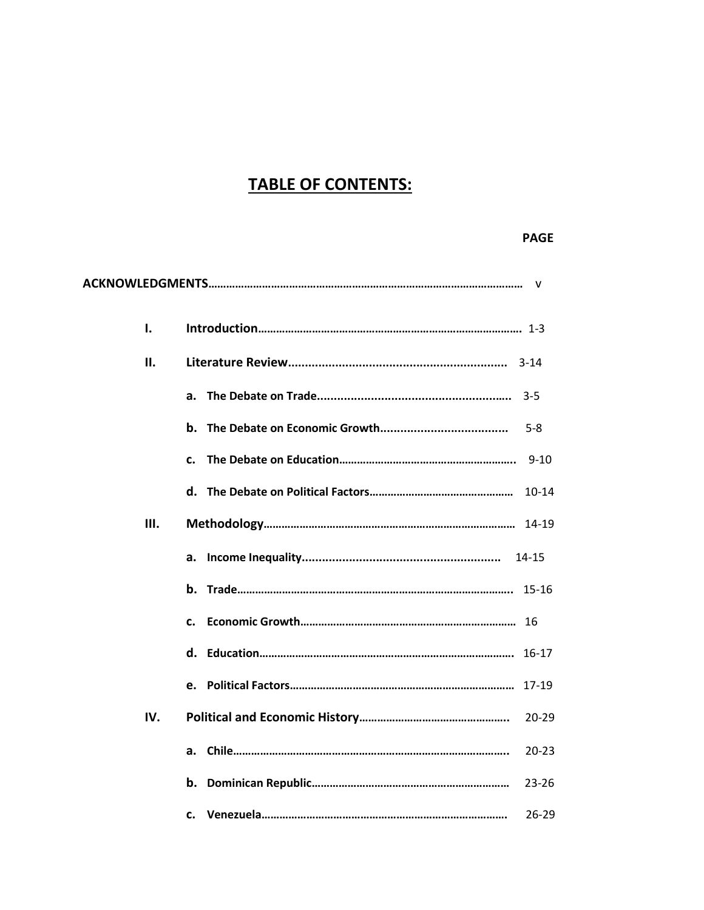# **TABLE OF CONTENTS:**

# **PAGE**

|     | $\mathsf{V}$         |
|-----|----------------------|
| ı.  |                      |
| ΙΙ. |                      |
|     | $3-5$<br>а.          |
|     | b.<br>$5-8$          |
|     | 9-10<br>c.           |
|     | $10-14$              |
| Ш.  |                      |
|     | а.                   |
|     | b.<br>$15 - 16$      |
|     | 16<br>$\mathbf{c}$ . |
|     | $16 - 17$<br>d.      |
|     | $17-19$              |
| IV. | $20 - 29$            |
|     | $20 - 23$<br>a.      |
|     | $23 - 26$<br>b.      |
|     | $26 - 29$<br>c.      |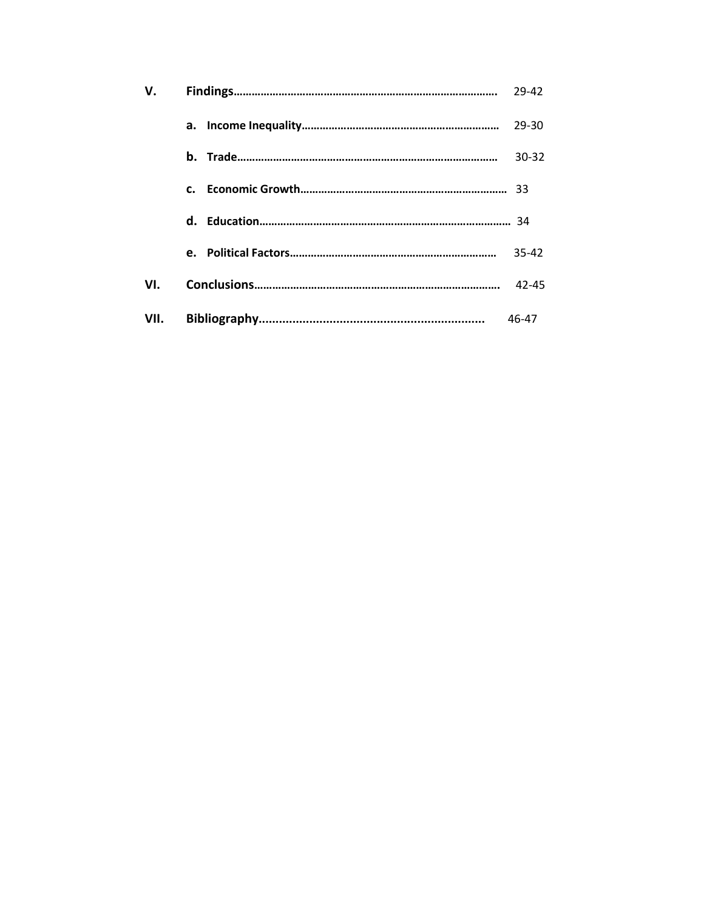| V.   |                | 29-42     |
|------|----------------|-----------|
|      |                | 29-30     |
|      |                | 30-32     |
|      | $\mathbf{c}$ . |           |
|      |                |           |
|      |                | 35-42     |
| VI.  |                | $42 - 45$ |
| VII. |                | 46-47     |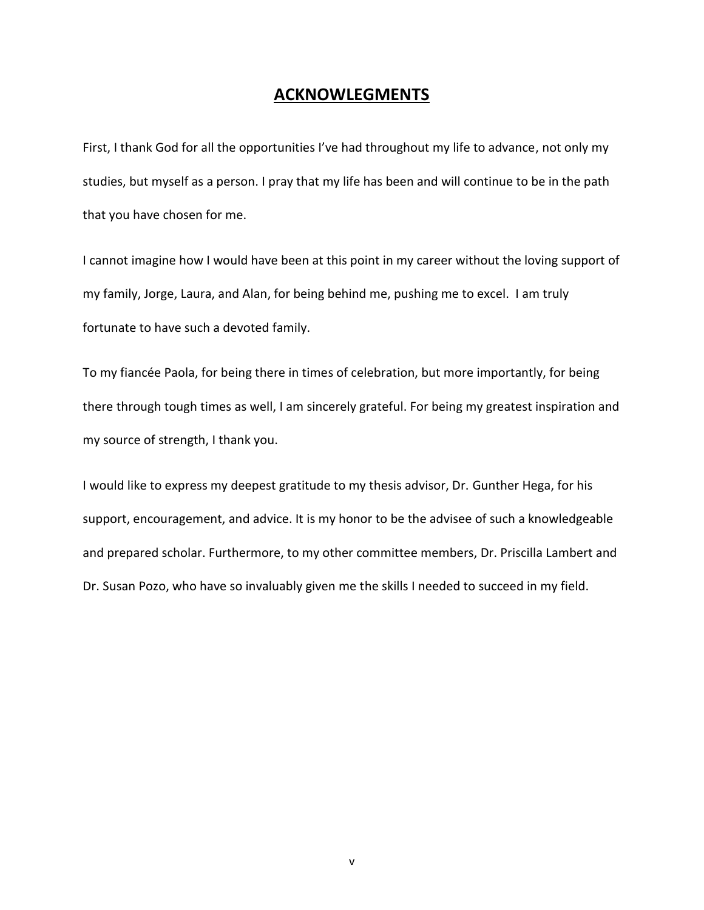# **ACKNOWLEGMENTS**

First, I thank God for all the opportunities I've had throughout my life to advance, not only my studies, but myself as a person. I pray that my life has been and will continue to be in the path that you have chosen for me.

I cannot imagine how I would have been at this point in my career without the loving support of my family, Jorge, Laura, and Alan, for being behind me, pushing me to excel. I am truly fortunate to have such a devoted family.

To my fiancée Paola, for being there in times of celebration, but more importantly, for being there through tough times as well, I am sincerely grateful. For being my greatest inspiration and my source of strength, I thank you.

I would like to express my deepest gratitude to my thesis advisor, Dr. Gunther Hega, for his support, encouragement, and advice. It is my honor to be the advisee of such a knowledgeable and prepared scholar. Furthermore, to my other committee members, Dr. Priscilla Lambert and Dr. Susan Pozo, who have so invaluably given me the skills I needed to succeed in my field.

v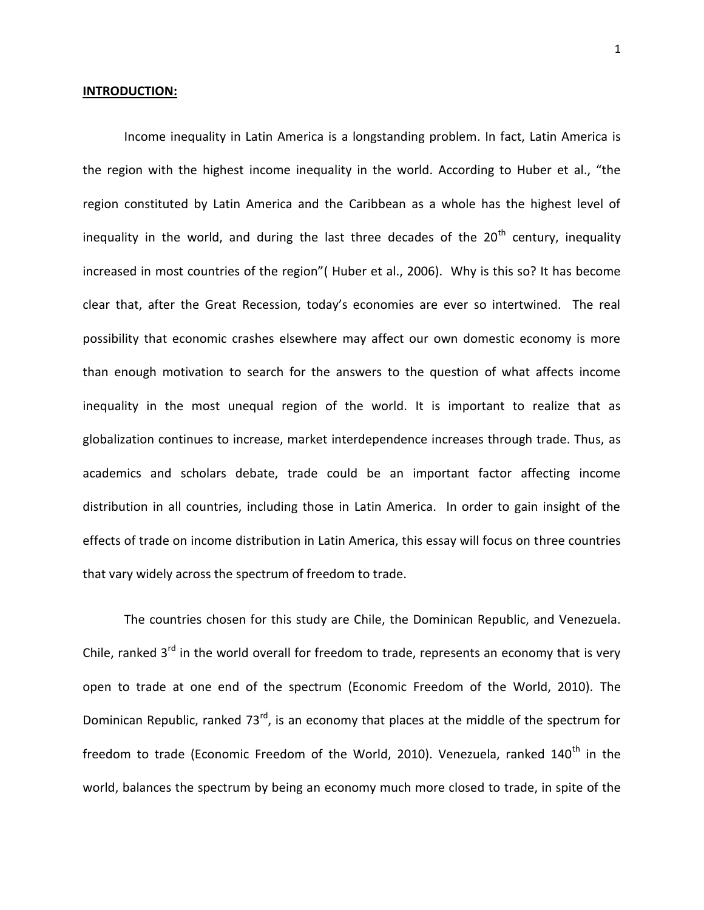#### **INTRODUCTION:**

Income inequality in Latin America is a longstanding problem. In fact, Latin America is the region with the highest income inequality in the world. According to Huber et al., "the region constituted by Latin America and the Caribbean as a whole has the highest level of inequality in the world, and during the last three decades of the  $20<sup>th</sup>$  century, inequality increased in most countries of the region"( Huber et al., 2006). Why is this so? It has become clear that, after the Great Recession, today's economies are ever so intertwined. The real possibility that economic crashes elsewhere may affect our own domestic economy is more than enough motivation to search for the answers to the question of what affects income inequality in the most unequal region of the world. It is important to realize that as globalization continues to increase, market interdependence increases through trade. Thus, as academics and scholars debate, trade could be an important factor affecting income distribution in all countries, including those in Latin America. In order to gain insight of the effects of trade on income distribution in Latin America, this essay will focus on three countries that vary widely across the spectrum of freedom to trade.

The countries chosen for this study are Chile, the Dominican Republic, and Venezuela. Chile, ranked  $3<sup>rd</sup>$  in the world overall for freedom to trade, represents an economy that is very open to trade at one end of the spectrum (Economic Freedom of the World, 2010). The Dominican Republic, ranked  $73^{rd}$ , is an economy that places at the middle of the spectrum for freedom to trade (Economic Freedom of the World, 2010). Venezuela, ranked  $140<sup>th</sup>$  in the world, balances the spectrum by being an economy much more closed to trade, in spite of the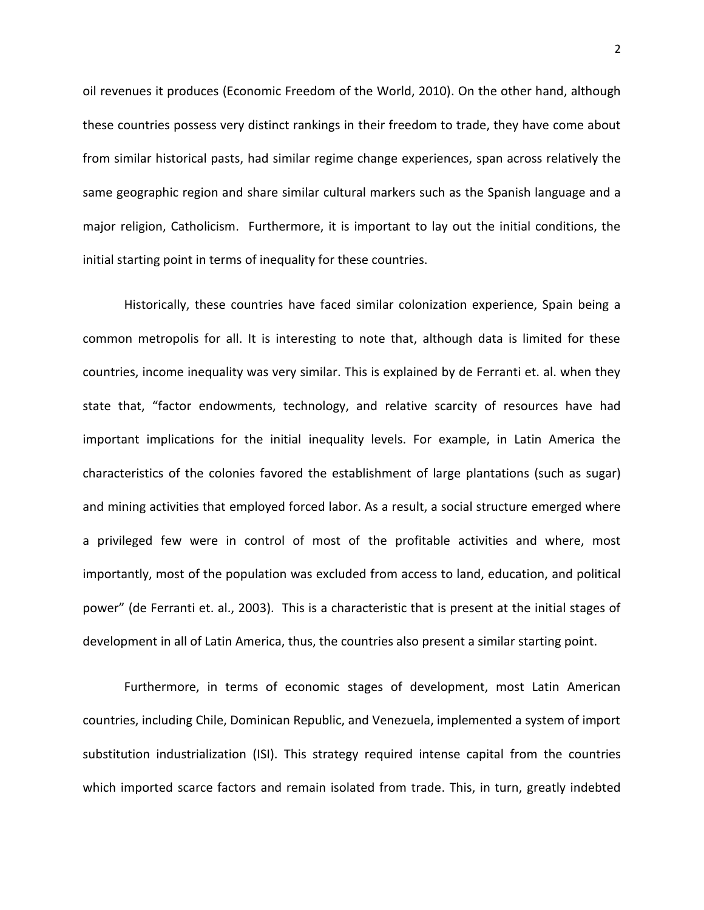oil revenues it produces (Economic Freedom of the World, 2010). On the other hand, although these countries possess very distinct rankings in their freedom to trade, they have come about from similar historical pasts, had similar regime change experiences, span across relatively the same geographic region and share similar cultural markers such as the Spanish language and a major religion, Catholicism. Furthermore, it is important to lay out the initial conditions, the initial starting point in terms of inequality for these countries.

Historically, these countries have faced similar colonization experience, Spain being a common metropolis for all. It is interesting to note that, although data is limited for these countries, income inequality was very similar. This is explained by de Ferranti et. al. when they state that, "factor endowments, technology, and relative scarcity of resources have had important implications for the initial inequality levels. For example, in Latin America the characteristics of the colonies favored the establishment of large plantations (such as sugar) and mining activities that employed forced labor. As a result, a social structure emerged where a privileged few were in control of most of the profitable activities and where, most importantly, most of the population was excluded from access to land, education, and political power" (de Ferranti et. al., 2003). This is a characteristic that is present at the initial stages of development in all of Latin America, thus, the countries also present a similar starting point.

Furthermore, in terms of economic stages of development, most Latin American countries, including Chile, Dominican Republic, and Venezuela, implemented a system of import substitution industrialization (ISI). This strategy required intense capital from the countries which imported scarce factors and remain isolated from trade. This, in turn, greatly indebted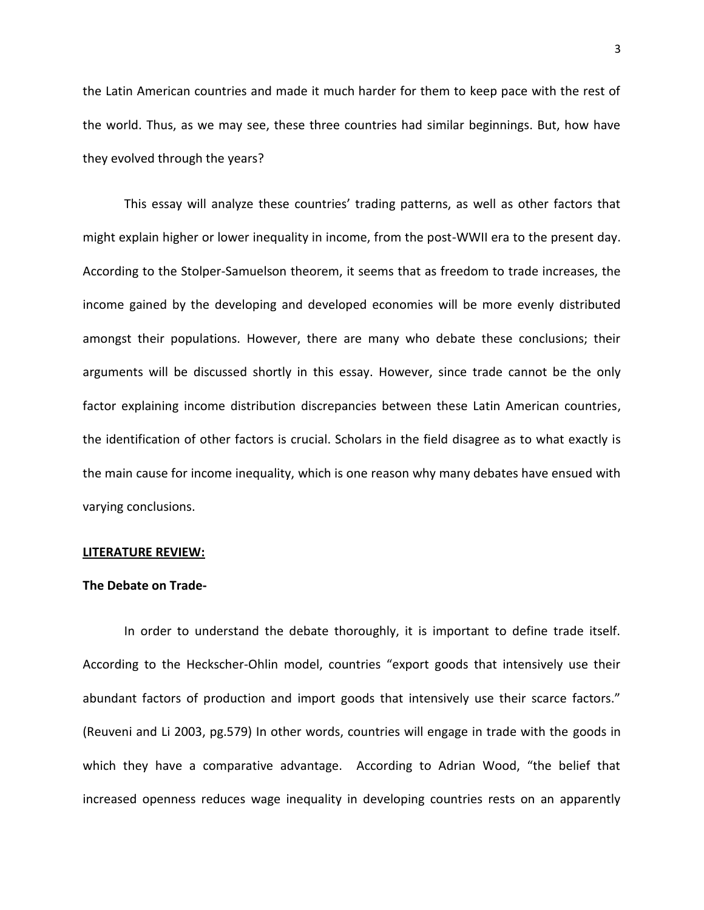the Latin American countries and made it much harder for them to keep pace with the rest of the world. Thus, as we may see, these three countries had similar beginnings. But, how have they evolved through the years?

This essay will analyze these countries' trading patterns, as well as other factors that might explain higher or lower inequality in income, from the post-WWII era to the present day. According to the Stolper-Samuelson theorem, it seems that as freedom to trade increases, the income gained by the developing and developed economies will be more evenly distributed amongst their populations. However, there are many who debate these conclusions; their arguments will be discussed shortly in this essay. However, since trade cannot be the only factor explaining income distribution discrepancies between these Latin American countries, the identification of other factors is crucial. Scholars in the field disagree as to what exactly is the main cause for income inequality, which is one reason why many debates have ensued with varying conclusions.

#### **LITERATURE REVIEW:**

#### **The Debate on Trade-**

In order to understand the debate thoroughly, it is important to define trade itself. According to the Heckscher-Ohlin model, countries "export goods that intensively use their abundant factors of production and import goods that intensively use their scarce factors." (Reuveni and Li 2003, pg.579) In other words, countries will engage in trade with the goods in which they have a comparative advantage. According to Adrian Wood, "the belief that increased openness reduces wage inequality in developing countries rests on an apparently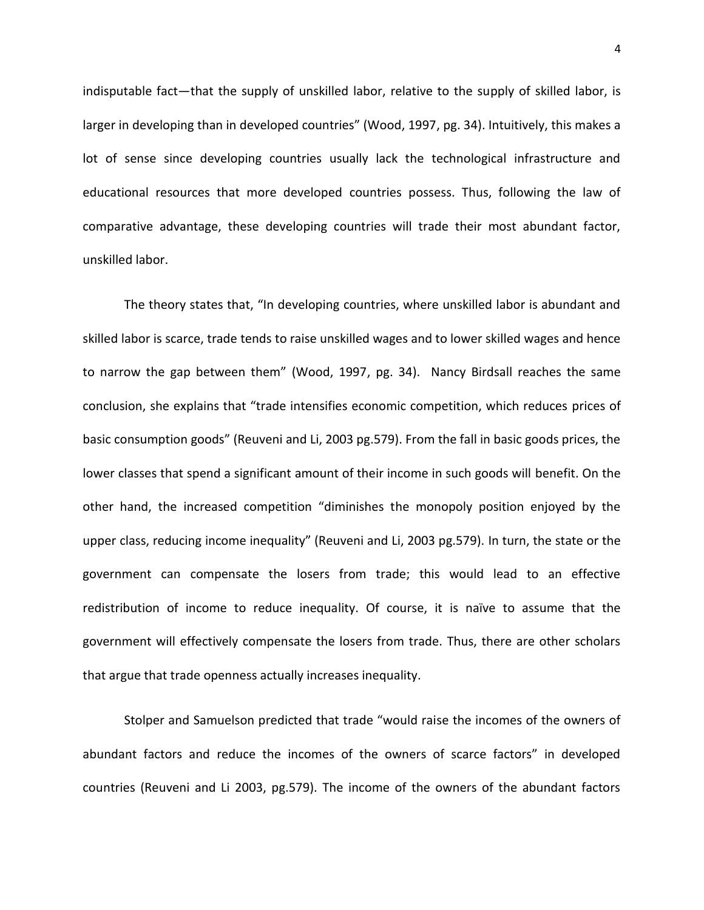indisputable fact—that the supply of unskilled labor, relative to the supply of skilled labor, is larger in developing than in developed countries" (Wood, 1997, pg. 34). Intuitively, this makes a lot of sense since developing countries usually lack the technological infrastructure and educational resources that more developed countries possess. Thus, following the law of comparative advantage, these developing countries will trade their most abundant factor, unskilled labor.

The theory states that, "In developing countries, where unskilled labor is abundant and skilled labor is scarce, trade tends to raise unskilled wages and to lower skilled wages and hence to narrow the gap between them" (Wood, 1997, pg. 34). Nancy Birdsall reaches the same conclusion, she explains that "trade intensifies economic competition, which reduces prices of basic consumption goods" (Reuveni and Li, 2003 pg.579). From the fall in basic goods prices, the lower classes that spend a significant amount of their income in such goods will benefit. On the other hand, the increased competition "diminishes the monopoly position enjoyed by the upper class, reducing income inequality" (Reuveni and Li, 2003 pg.579). In turn, the state or the government can compensate the losers from trade; this would lead to an effective redistribution of income to reduce inequality. Of course, it is naïve to assume that the government will effectively compensate the losers from trade. Thus, there are other scholars that argue that trade openness actually increases inequality.

Stolper and Samuelson predicted that trade "would raise the incomes of the owners of abundant factors and reduce the incomes of the owners of scarce factors" in developed countries (Reuveni and Li 2003, pg.579). The income of the owners of the abundant factors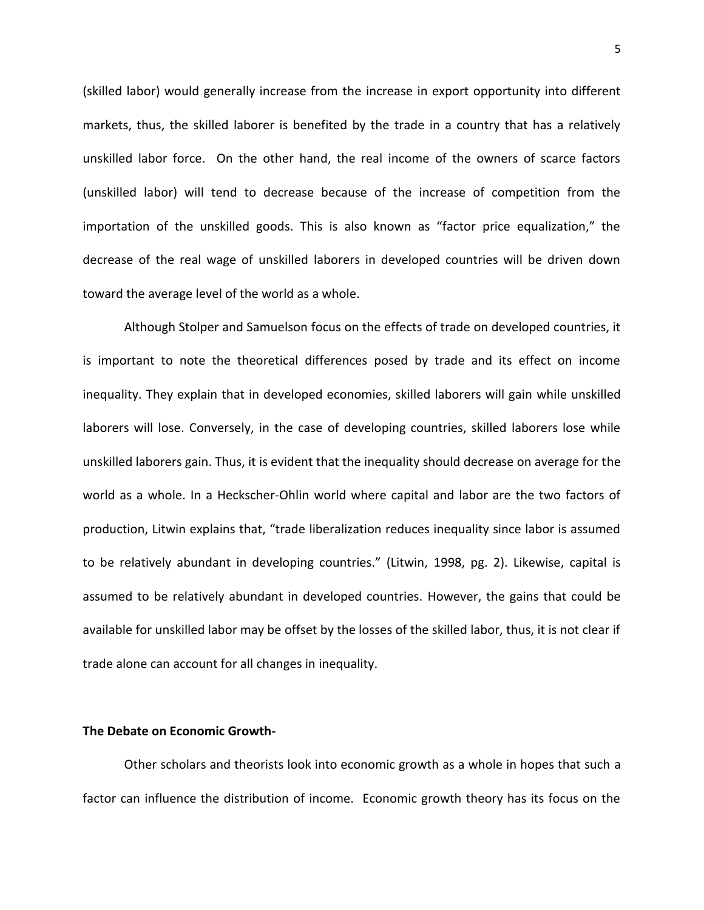(skilled labor) would generally increase from the increase in export opportunity into different markets, thus, the skilled laborer is benefited by the trade in a country that has a relatively unskilled labor force. On the other hand, the real income of the owners of scarce factors (unskilled labor) will tend to decrease because of the increase of competition from the importation of the unskilled goods. This is also known as "factor price equalization," the decrease of the real wage of unskilled laborers in developed countries will be driven down toward the average level of the world as a whole.

Although Stolper and Samuelson focus on the effects of trade on developed countries, it is important to note the theoretical differences posed by trade and its effect on income inequality. They explain that in developed economies, skilled laborers will gain while unskilled laborers will lose. Conversely, in the case of developing countries, skilled laborers lose while unskilled laborers gain. Thus, it is evident that the inequality should decrease on average for the world as a whole. In a Heckscher-Ohlin world where capital and labor are the two factors of production, Litwin explains that, "trade liberalization reduces inequality since labor is assumed to be relatively abundant in developing countries." (Litwin, 1998, pg. 2). Likewise, capital is assumed to be relatively abundant in developed countries. However, the gains that could be available for unskilled labor may be offset by the losses of the skilled labor, thus, it is not clear if trade alone can account for all changes in inequality.

# **The Debate on Economic Growth-**

Other scholars and theorists look into economic growth as a whole in hopes that such a factor can influence the distribution of income. Economic growth theory has its focus on the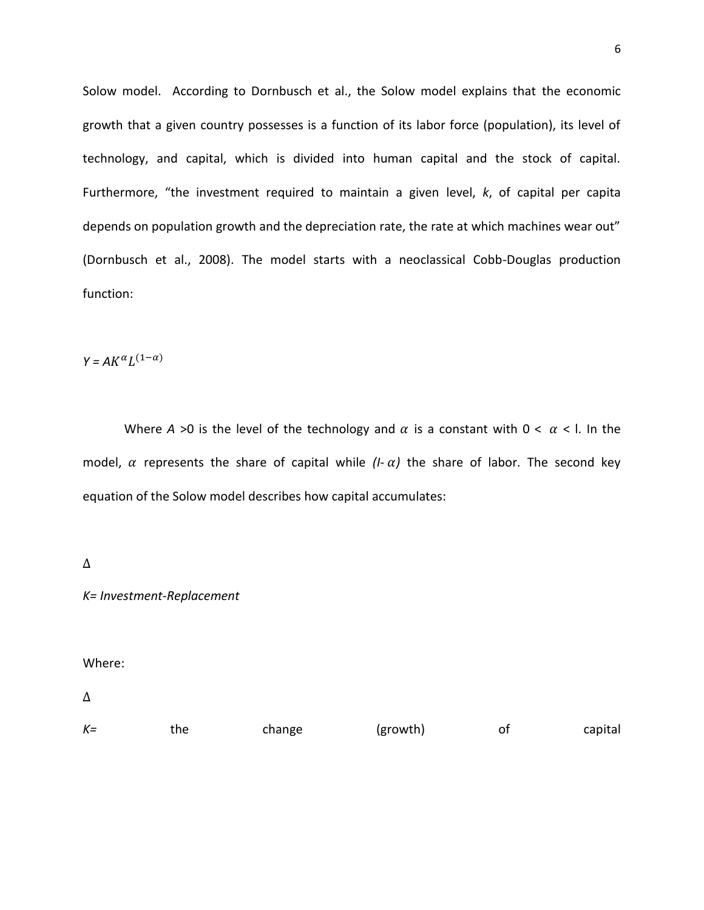Solow model. According to Dornbusch et al., the Solow model explains that the economic growth that a given country possesses is a function of its labor force (population), its level of technology, and capital, which is divided into human capital and the stock of capital. Furthermore, "the investment required to maintain a given level, *k*, of capital per capita depends on population growth and the depreciation rate, the rate at which machines wear out" (Dornbusch et al., 2008). The model starts with a neoclassical Cobb-Douglas production function:

 $Y = AK^\alpha L^{\alpha}$ 

Where  $A > 0$  is the level of the technology and  $\alpha$  is a constant with  $0 < \alpha < 1$ . In the model,  $\alpha$  represents the share of capital while  $(I - \alpha)$  the share of labor. The second key equation of the Solow model describes how capital accumulates:

 $\Delta$ 

*K= Investment-Replacement*

Where:

 $\Delta$ 

| $K =$ | the. | change | (growth) |  | capital |
|-------|------|--------|----------|--|---------|
|-------|------|--------|----------|--|---------|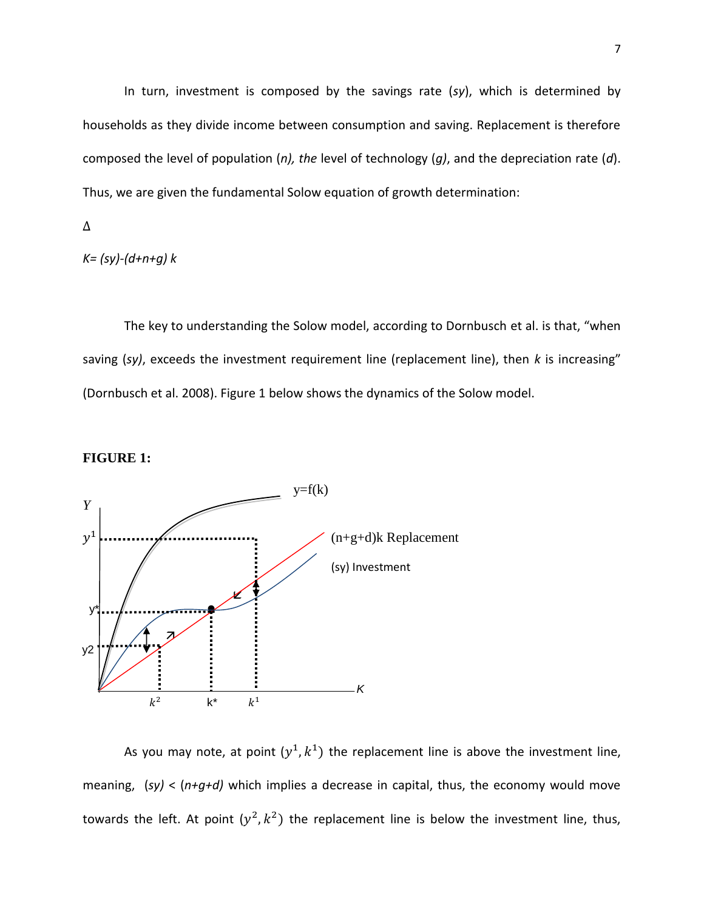In turn, investment is composed by the savings rate (*sy*), which is determined by households as they divide income between consumption and saving. Replacement is therefore composed the level of population (*n), the* level of technology (*g)*, and the depreciation rate (*d*). Thus, we are given the fundamental Solow equation of growth determination:

Δ

*K= (sy)-(d+n+g) k*

The key to understanding the Solow model, according to Dornbusch et al. is that, "when saving (*sy)*, exceeds the investment requirement line (replacement line), then *k* is increasing" (Dornbusch et al. 2008). Figure 1 below shows the dynamics of the Solow model.





As you may note, at point  $(y^1, k^1)$  the replacement line is above the investment line, meaning, (*sy)* < (*n+g+d)* which implies a decrease in capital, thus, the economy would move towards the left. At point  $(y^2, k^2)$  the replacement line is below the investment line, thus,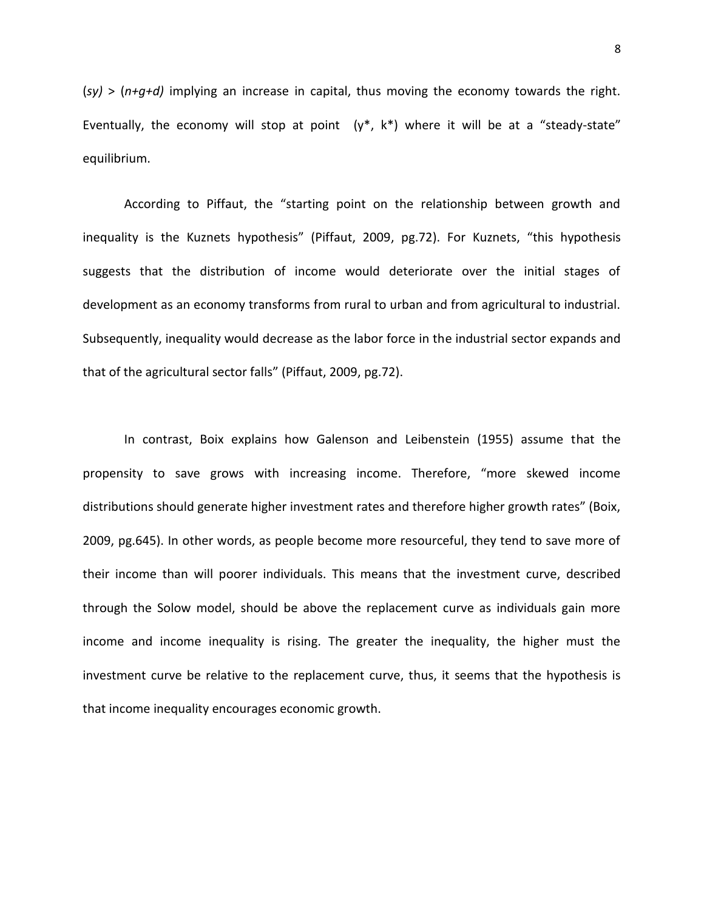(*sy)* > (*n+g+d)* implying an increase in capital, thus moving the economy towards the right. Eventually, the economy will stop at point  $(y^*, k^*)$  where it will be at a "steady-state" equilibrium.

According to Piffaut, the "starting point on the relationship between growth and inequality is the Kuznets hypothesis" (Piffaut, 2009, pg.72). For Kuznets, "this hypothesis suggests that the distribution of income would deteriorate over the initial stages of development as an economy transforms from rural to urban and from agricultural to industrial. Subsequently, inequality would decrease as the labor force in the industrial sector expands and that of the agricultural sector falls" (Piffaut, 2009, pg.72).

In contrast, Boix explains how Galenson and Leibenstein (1955) assume that the propensity to save grows with increasing income. Therefore, "more skewed income distributions should generate higher investment rates and therefore higher growth rates" (Boix, 2009, pg.645). In other words, as people become more resourceful, they tend to save more of their income than will poorer individuals. This means that the investment curve, described through the Solow model, should be above the replacement curve as individuals gain more income and income inequality is rising. The greater the inequality, the higher must the investment curve be relative to the replacement curve, thus, it seems that the hypothesis is that income inequality encourages economic growth.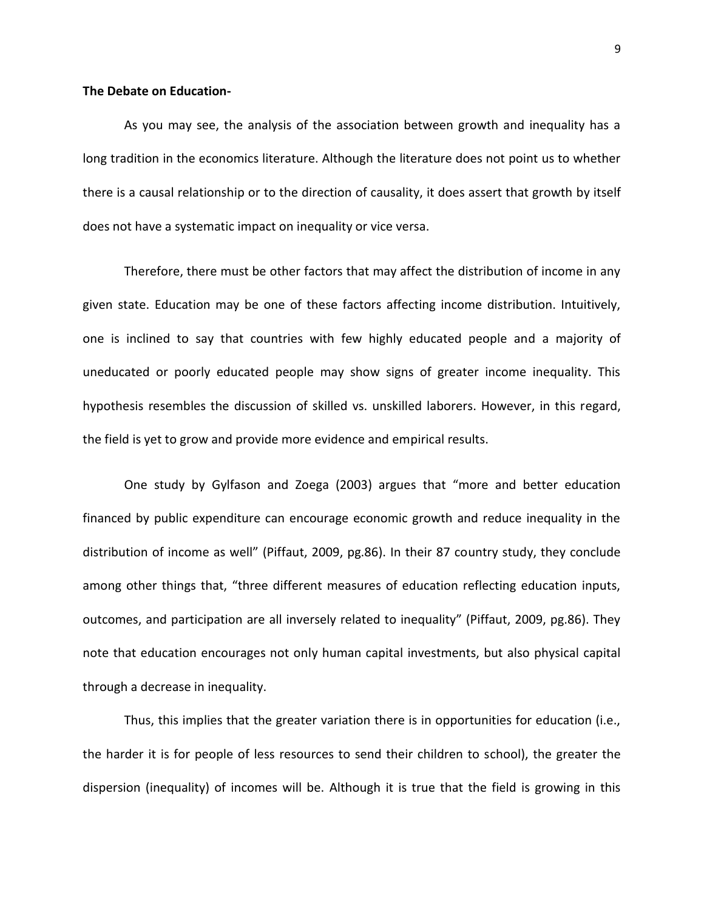# **The Debate on Education-**

As you may see, the analysis of the association between growth and inequality has a long tradition in the economics literature. Although the literature does not point us to whether there is a causal relationship or to the direction of causality, it does assert that growth by itself does not have a systematic impact on inequality or vice versa.

Therefore, there must be other factors that may affect the distribution of income in any given state. Education may be one of these factors affecting income distribution. Intuitively, one is inclined to say that countries with few highly educated people and a majority of uneducated or poorly educated people may show signs of greater income inequality. This hypothesis resembles the discussion of skilled vs. unskilled laborers. However, in this regard, the field is yet to grow and provide more evidence and empirical results.

One study by Gylfason and Zoega (2003) argues that "more and better education financed by public expenditure can encourage economic growth and reduce inequality in the distribution of income as well" (Piffaut, 2009, pg.86). In their 87 country study, they conclude among other things that, "three different measures of education reflecting education inputs, outcomes, and participation are all inversely related to inequality" (Piffaut, 2009, pg.86). They note that education encourages not only human capital investments, but also physical capital through a decrease in inequality.

Thus, this implies that the greater variation there is in opportunities for education (i.e., the harder it is for people of less resources to send their children to school), the greater the dispersion (inequality) of incomes will be. Although it is true that the field is growing in this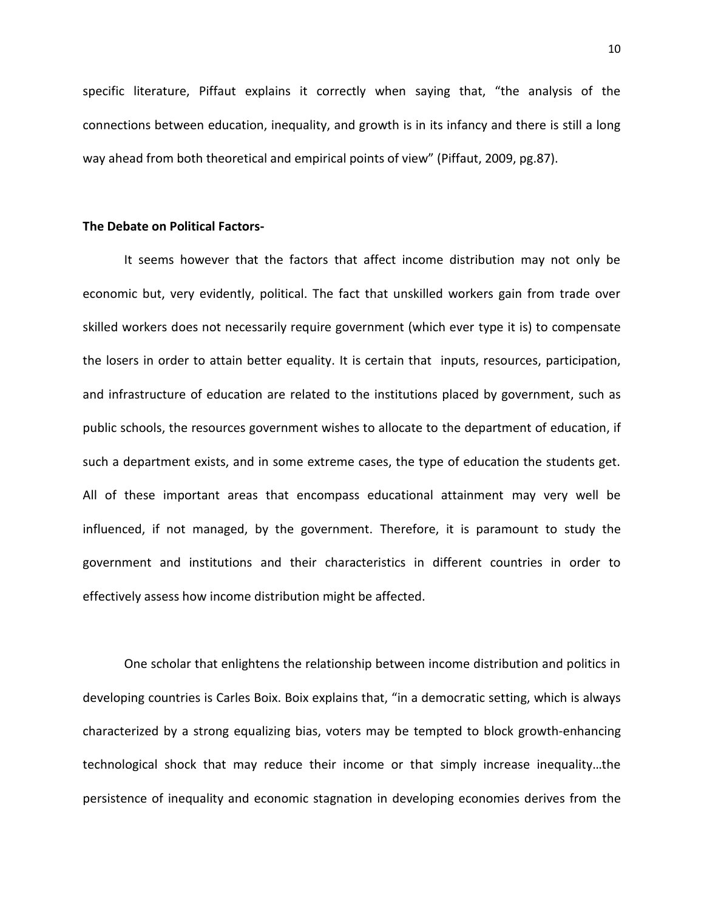specific literature, Piffaut explains it correctly when saying that, "the analysis of the connections between education, inequality, and growth is in its infancy and there is still a long way ahead from both theoretical and empirical points of view" (Piffaut, 2009, pg.87).

# **The Debate on Political Factors-**

It seems however that the factors that affect income distribution may not only be economic but, very evidently, political. The fact that unskilled workers gain from trade over skilled workers does not necessarily require government (which ever type it is) to compensate the losers in order to attain better equality. It is certain that inputs, resources, participation, and infrastructure of education are related to the institutions placed by government, such as public schools, the resources government wishes to allocate to the department of education, if such a department exists, and in some extreme cases, the type of education the students get. All of these important areas that encompass educational attainment may very well be influenced, if not managed, by the government. Therefore, it is paramount to study the government and institutions and their characteristics in different countries in order to effectively assess how income distribution might be affected.

One scholar that enlightens the relationship between income distribution and politics in developing countries is Carles Boix. Boix explains that, "in a democratic setting, which is always characterized by a strong equalizing bias, voters may be tempted to block growth-enhancing technological shock that may reduce their income or that simply increase inequality…the persistence of inequality and economic stagnation in developing economies derives from the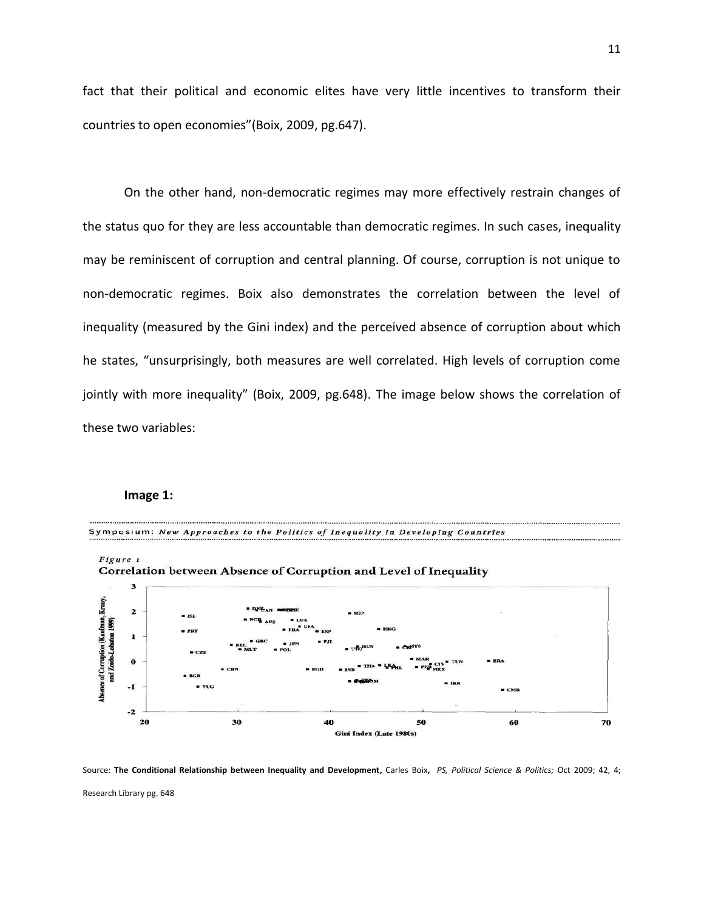fact that their political and economic elites have very little incentives to transform their countries to open economies"(Boix, 2009, pg.647).

On the other hand, non-democratic regimes may more effectively restrain changes of the status quo for they are less accountable than democratic regimes. In such cases, inequality may be reminiscent of corruption and central planning. Of course, corruption is not unique to non-democratic regimes. Boix also demonstrates the correlation between the level of inequality (measured by the Gini index) and the perceived absence of corruption about which he states, "unsurprisingly, both measures are well correlated. High levels of corruption come jointly with more inequality" (Boix, 2009, pg.648). The image below shows the correlation of these two variables:

#### **Image 1:**



Source: **The Conditional Relationship between Inequality and Development,** Carles Boix**,** *PS, Political Science & Politics;* Oct 2009; 42, 4; Research Library pg. 648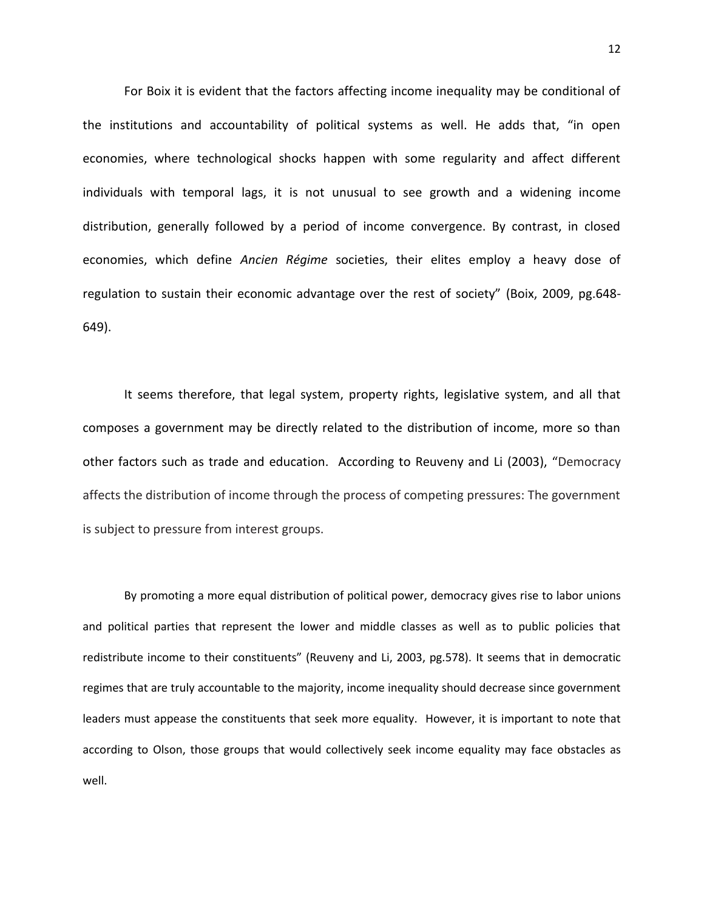For Boix it is evident that the factors affecting income inequality may be conditional of the institutions and accountability of political systems as well. He adds that, "in open economies, where technological shocks happen with some regularity and affect different individuals with temporal lags, it is not unusual to see growth and a widening income distribution, generally followed by a period of income convergence. By contrast, in closed economies, which define *Ancien Régime* societies, their elites employ a heavy dose of regulation to sustain their economic advantage over the rest of society" (Boix, 2009, pg.648- 649).

It seems therefore, that legal system, property rights, legislative system, and all that composes a government may be directly related to the distribution of income, more so than other factors such as trade and education. According to Reuveny and Li (2003), "Democracy affects the distribution of income through the process of competing pressures: The government is subject to pressure from interest groups.

By promoting a more equal distribution of political power, democracy gives rise to labor unions and political parties that represent the lower and middle classes as well as to public policies that redistribute income to their constituents" (Reuveny and Li, 2003, pg.578). It seems that in democratic regimes that are truly accountable to the majority, income inequality should decrease since government leaders must appease the constituents that seek more equality. However, it is important to note that according to Olson, those groups that would collectively seek income equality may face obstacles as well.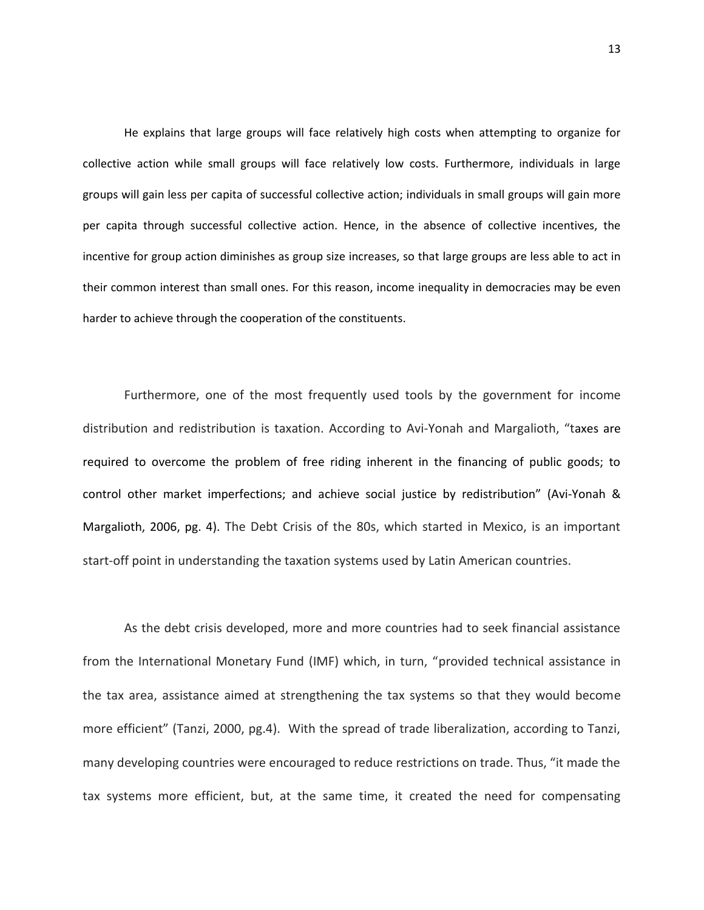He explains that large groups will face relatively high costs when attempting to organize for collective action while small groups will face relatively low costs. Furthermore, individuals in large groups will gain less per capita of successful collective action; individuals in small groups will gain more per capita through successful collective action. Hence, in the absence of collective incentives, the incentive for group action diminishes as group size increases, so that large groups are less able to act in their common interest than small ones. For this reason, income inequality in democracies may be even harder to achieve through the cooperation of the constituents.

Furthermore, one of the most frequently used tools by the government for income distribution and redistribution is taxation. According to Avi-Yonah and Margalioth, "taxes are required to overcome the problem of free riding inherent in the financing of public goods; to control other market imperfections; and achieve social justice by redistribution" (Avi-Yonah & Margalioth, 2006, pg. 4). The Debt Crisis of the 80s, which started in Mexico, is an important start-off point in understanding the taxation systems used by Latin American countries.

As the debt crisis developed, more and more countries had to seek financial assistance from the International Monetary Fund (IMF) which, in turn, "provided technical assistance in the tax area, assistance aimed at strengthening the tax systems so that they would become more efficient" (Tanzi, 2000, pg.4). With the spread of trade liberalization, according to Tanzi, many developing countries were encouraged to reduce restrictions on trade. Thus, "it made the tax systems more efficient, but, at the same time, it created the need for compensating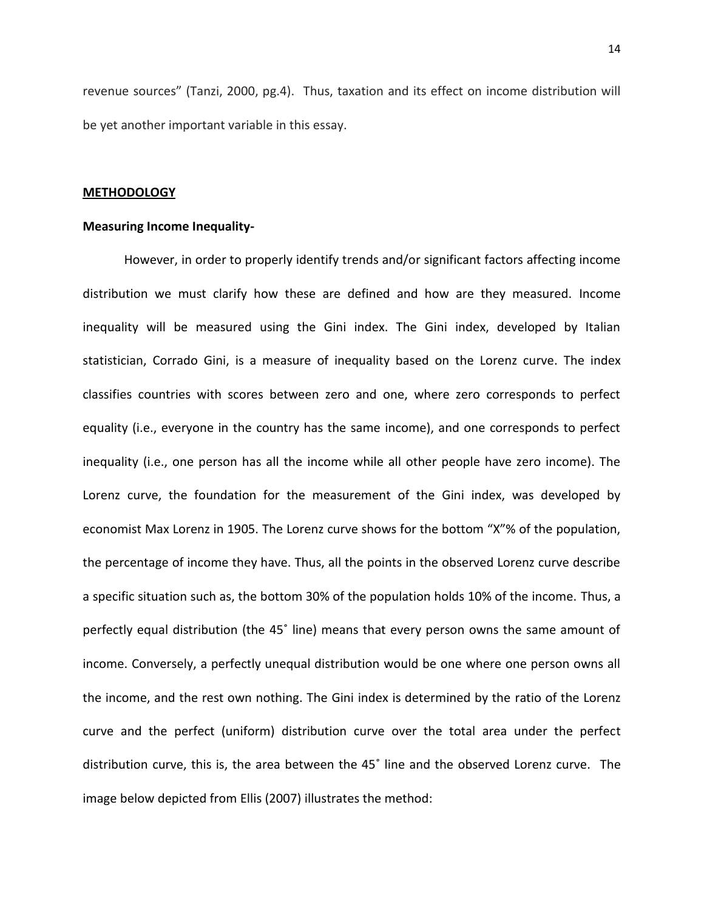revenue sources" (Tanzi, 2000, pg.4). Thus, taxation and its effect on income distribution will be yet another important variable in this essay.

#### **METHODOLOGY**

# **Measuring Income Inequality-**

However, in order to properly identify trends and/or significant factors affecting income distribution we must clarify how these are defined and how are they measured. Income inequality will be measured using the Gini index. The Gini index, developed by Italian statistician, Corrado Gini, is a measure of inequality based on the Lorenz curve. The index classifies countries with scores between zero and one, where zero corresponds to perfect equality (i.e., everyone in the country has the same income), and one corresponds to perfect inequality (i.e., one person has all the income while all other people have zero income). The Lorenz curve, the foundation for the measurement of the Gini index, was developed by economist Max Lorenz in 1905. The Lorenz curve shows for the bottom "X"% of the population, the percentage of income they have. Thus, all the points in the observed Lorenz curve describe a specific situation such as, the bottom 30% of the population holds 10% of the income. Thus, a perfectly equal distribution (the 45˚ line) means that every person owns the same amount of income. Conversely, a perfectly unequal distribution would be one where one person owns all the income, and the rest own nothing. The Gini index is determined by the ratio of the Lorenz curve and the perfect (uniform) distribution curve over the total area under the perfect distribution curve, this is, the area between the 45˚ line and the observed Lorenz curve. The image below depicted from Ellis (2007) illustrates the method: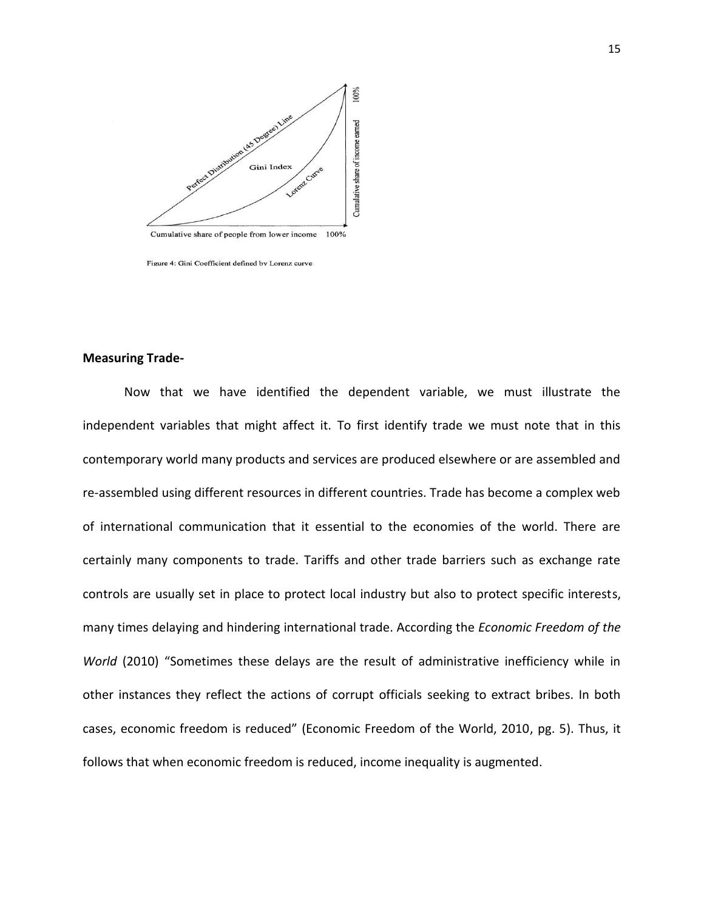

Figure 4: Gini Coefficient defined by Lorenz curve

#### **Measuring Trade-**

Now that we have identified the dependent variable, we must illustrate the independent variables that might affect it. To first identify trade we must note that in this contemporary world many products and services are produced elsewhere or are assembled and re-assembled using different resources in different countries. Trade has become a complex web of international communication that it essential to the economies of the world. There are certainly many components to trade. Tariffs and other trade barriers such as exchange rate controls are usually set in place to protect local industry but also to protect specific interests, many times delaying and hindering international trade. According the *Economic Freedom of the World* (2010) "Sometimes these delays are the result of administrative inefficiency while in other instances they reflect the actions of corrupt officials seeking to extract bribes. In both cases, economic freedom is reduced" (Economic Freedom of the World, 2010, pg. 5). Thus, it follows that when economic freedom is reduced, income inequality is augmented.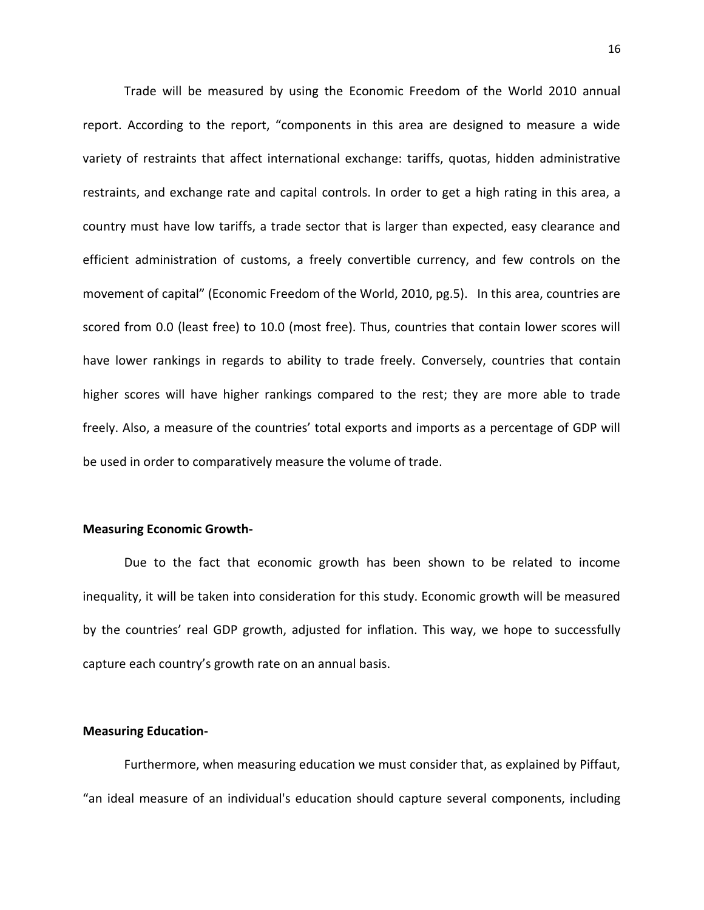Trade will be measured by using the Economic Freedom of the World 2010 annual report. According to the report, "components in this area are designed to measure a wide variety of restraints that affect international exchange: tariffs, quotas, hidden administrative restraints, and exchange rate and capital controls. In order to get a high rating in this area, a country must have low tariffs, a trade sector that is larger than expected, easy clearance and efficient administration of customs, a freely convertible currency, and few controls on the movement of capital" (Economic Freedom of the World, 2010, pg.5). In this area, countries are scored from 0.0 (least free) to 10.0 (most free). Thus, countries that contain lower scores will have lower rankings in regards to ability to trade freely. Conversely, countries that contain higher scores will have higher rankings compared to the rest; they are more able to trade freely. Also, a measure of the countries' total exports and imports as a percentage of GDP will be used in order to comparatively measure the volume of trade.

#### **Measuring Economic Growth-**

Due to the fact that economic growth has been shown to be related to income inequality, it will be taken into consideration for this study. Economic growth will be measured by the countries' real GDP growth, adjusted for inflation. This way, we hope to successfully capture each country's growth rate on an annual basis.

### **Measuring Education-**

Furthermore, when measuring education we must consider that, as explained by Piffaut, "an ideal measure of an individual's education should capture several components, including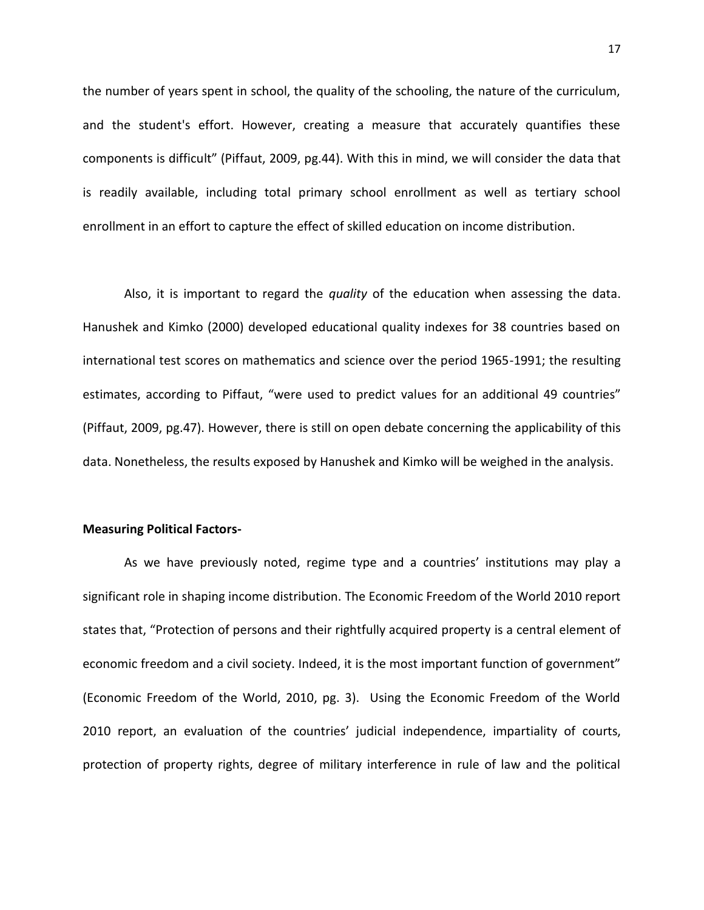the number of years spent in school, the quality of the schooling, the nature of the curriculum, and the student's effort. However, creating a measure that accurately quantifies these components is difficult" (Piffaut, 2009, pg.44). With this in mind, we will consider the data that is readily available, including total primary school enrollment as well as tertiary school enrollment in an effort to capture the effect of skilled education on income distribution.

Also, it is important to regard the *quality* of the education when assessing the data. Hanushek and Kimko (2000) developed educational quality indexes for 38 countries based on international test scores on mathematics and science over the period 1965-1991; the resulting estimates, according to Piffaut, "were used to predict values for an additional 49 countries" (Piffaut, 2009, pg.47). However, there is still on open debate concerning the applicability of this data. Nonetheless, the results exposed by Hanushek and Kimko will be weighed in the analysis.

#### **Measuring Political Factors-**

As we have previously noted, regime type and a countries' institutions may play a significant role in shaping income distribution. The Economic Freedom of the World 2010 report states that, "Protection of persons and their rightfully acquired property is a central element of economic freedom and a civil society. Indeed, it is the most important function of government" (Economic Freedom of the World, 2010, pg. 3). Using the Economic Freedom of the World 2010 report, an evaluation of the countries' judicial independence, impartiality of courts, protection of property rights, degree of military interference in rule of law and the political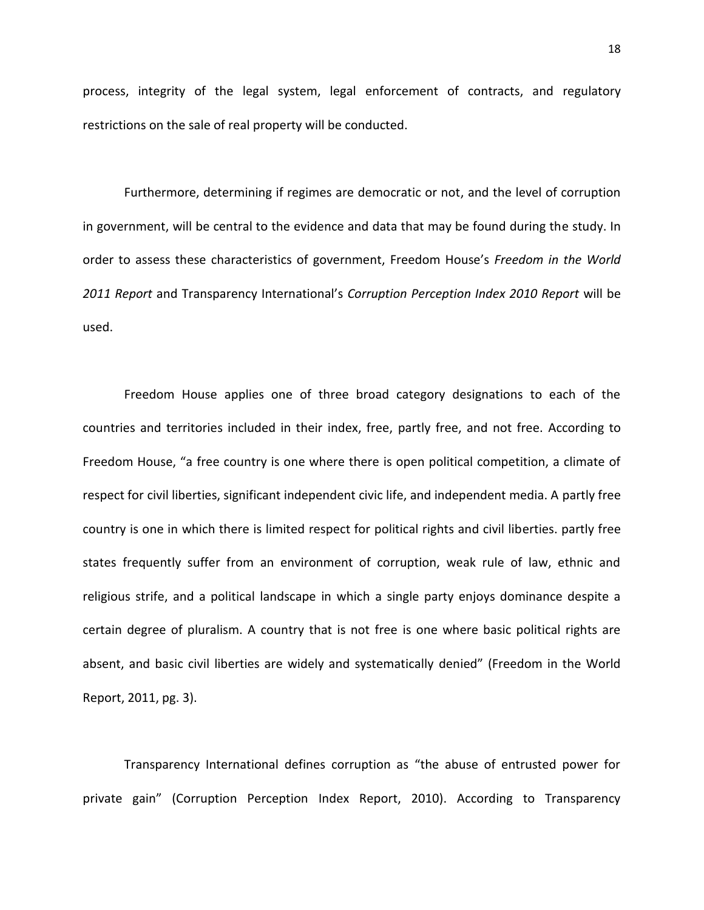process, integrity of the legal system, legal enforcement of contracts, and regulatory restrictions on the sale of real property will be conducted.

Furthermore, determining if regimes are democratic or not, and the level of corruption in government, will be central to the evidence and data that may be found during the study. In order to assess these characteristics of government, Freedom House's *Freedom in the World 2011 Report* and Transparency International's *Corruption Perception Index 2010 Report* will be used.

Freedom House applies one of three broad category designations to each of the countries and territories included in their index, free, partly free, and not free. According to Freedom House, "a free country is one where there is open political competition, a climate of respect for civil liberties, significant independent civic life, and independent media. A partly free country is one in which there is limited respect for political rights and civil liberties. partly free states frequently suffer from an environment of corruption, weak rule of law, ethnic and religious strife, and a political landscape in which a single party enjoys dominance despite a certain degree of pluralism. A country that is not free is one where basic political rights are absent, and basic civil liberties are widely and systematically denied" (Freedom in the World Report, 2011, pg. 3).

Transparency International defines corruption as "the abuse of entrusted power for private gain" (Corruption Perception Index Report, 2010). According to Transparency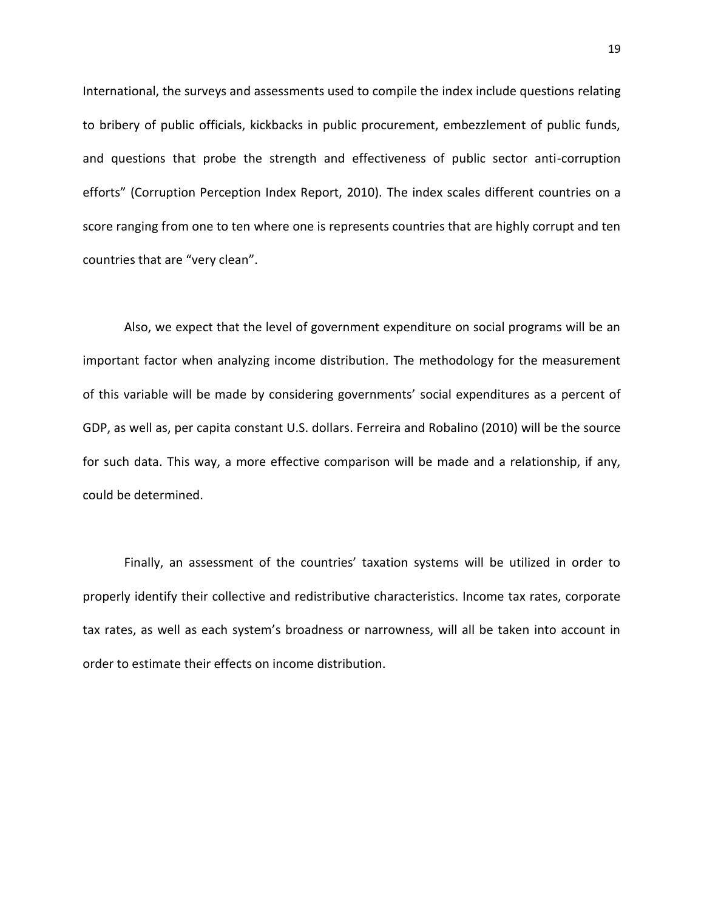International, the surveys and assessments used to compile the index include questions relating to bribery of public officials, kickbacks in public procurement, embezzlement of public funds, and questions that probe the strength and effectiveness of public sector anti-corruption efforts" (Corruption Perception Index Report, 2010). The index scales different countries on a score ranging from one to ten where one is represents countries that are highly corrupt and ten countries that are "very clean".

Also, we expect that the level of government expenditure on social programs will be an important factor when analyzing income distribution. The methodology for the measurement of this variable will be made by considering governments' social expenditures as a percent of GDP, as well as, per capita constant U.S. dollars. Ferreira and Robalino (2010) will be the source for such data. This way, a more effective comparison will be made and a relationship, if any, could be determined.

Finally, an assessment of the countries' taxation systems will be utilized in order to properly identify their collective and redistributive characteristics. Income tax rates, corporate tax rates, as well as each system's broadness or narrowness, will all be taken into account in order to estimate their effects on income distribution.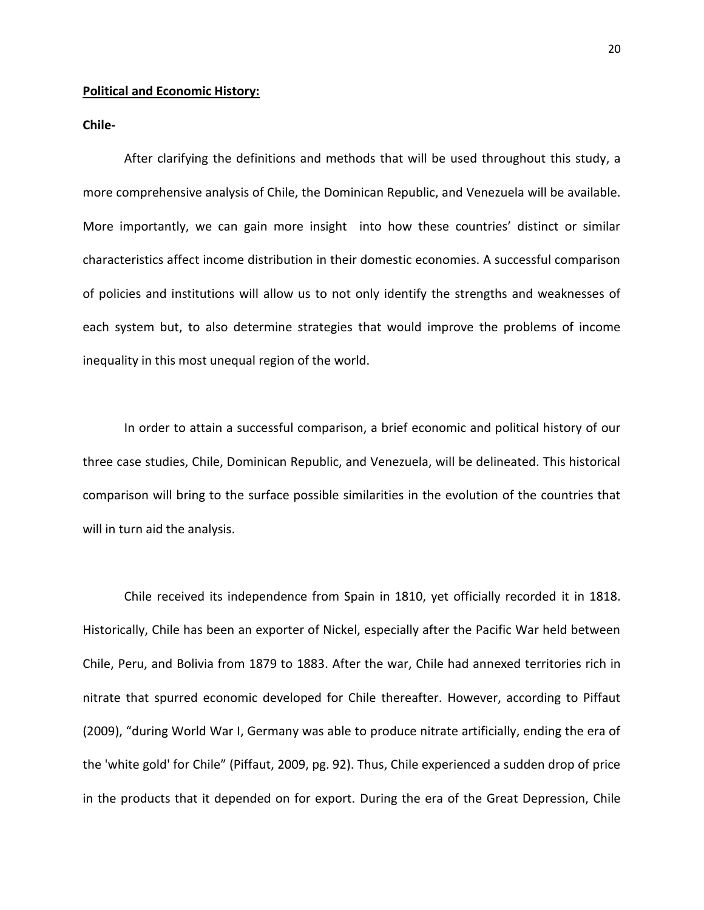### **Political and Economic History:**

**Chile-**

After clarifying the definitions and methods that will be used throughout this study, a more comprehensive analysis of Chile, the Dominican Republic, and Venezuela will be available. More importantly, we can gain more insight into how these countries' distinct or similar characteristics affect income distribution in their domestic economies. A successful comparison of policies and institutions will allow us to not only identify the strengths and weaknesses of each system but, to also determine strategies that would improve the problems of income inequality in this most unequal region of the world.

In order to attain a successful comparison, a brief economic and political history of our three case studies, Chile, Dominican Republic, and Venezuela, will be delineated. This historical comparison will bring to the surface possible similarities in the evolution of the countries that will in turn aid the analysis.

Chile received its independence from Spain in 1810, yet officially recorded it in 1818. Historically, Chile has been an exporter of Nickel, especially after the Pacific War held between Chile, Peru, and Bolivia from 1879 to 1883. After the war, Chile had annexed territories rich in nitrate that spurred economic developed for Chile thereafter. However, according to Piffaut (2009), "during World War I, Germany was able to produce nitrate artificially, ending the era of the 'white gold' for Chile" (Piffaut, 2009, pg. 92). Thus, Chile experienced a sudden drop of price in the products that it depended on for export. During the era of the Great Depression, Chile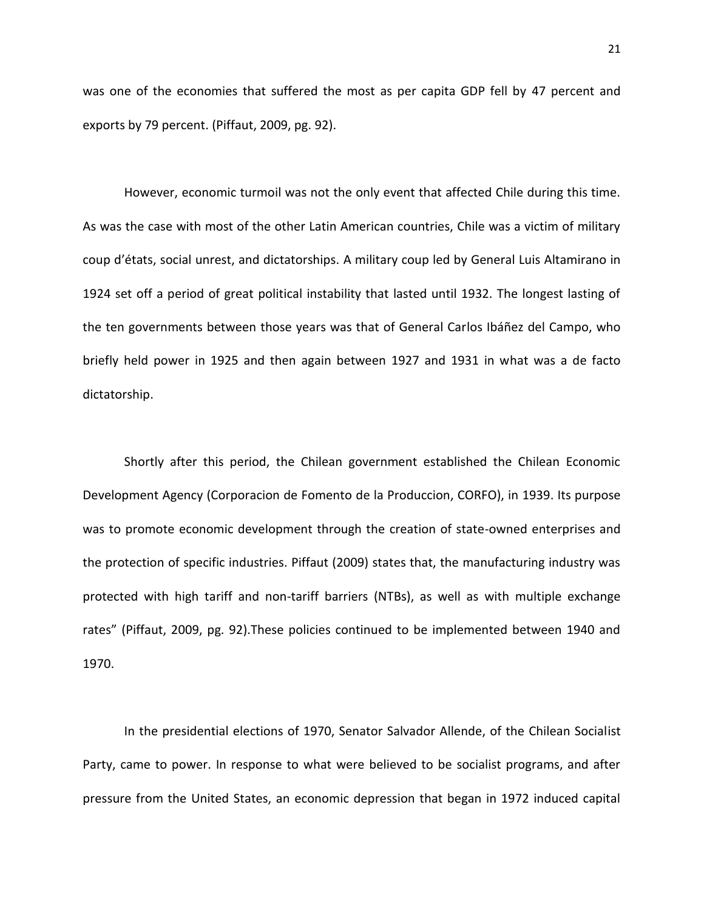was one of the economies that suffered the most as per capita GDP fell by 47 percent and exports by 79 percent. (Piffaut, 2009, pg. 92).

However, economic turmoil was not the only event that affected Chile during this time. As was the case with most of the other Latin American countries, Chile was a victim of military coup d'états, social unrest, and dictatorships. A military coup led by General Luis Altamirano in 1924 set off a period of great political instability that lasted until 1932. The longest lasting of the ten governments between those years was that of General Carlos Ibáñez del Campo, who briefly held power in 1925 and then again between 1927 and 1931 in what was a de facto dictatorship.

Shortly after this period, the Chilean government established the Chilean Economic Development Agency (Corporacion de Fomento de la Produccion, CORFO), in 1939. Its purpose was to promote economic development through the creation of state-owned enterprises and the protection of specific industries. Piffaut (2009) states that, the manufacturing industry was protected with high tariff and non-tariff barriers (NTBs), as well as with multiple exchange rates" (Piffaut, 2009, pg. 92).These policies continued to be implemented between 1940 and 1970.

In the presidential elections of 1970, Senator Salvador Allende, of the Chilean Socialist Party, came to power. In response to what were believed to be socialist programs, and after pressure from the United States, an economic depression that began in 1972 induced capital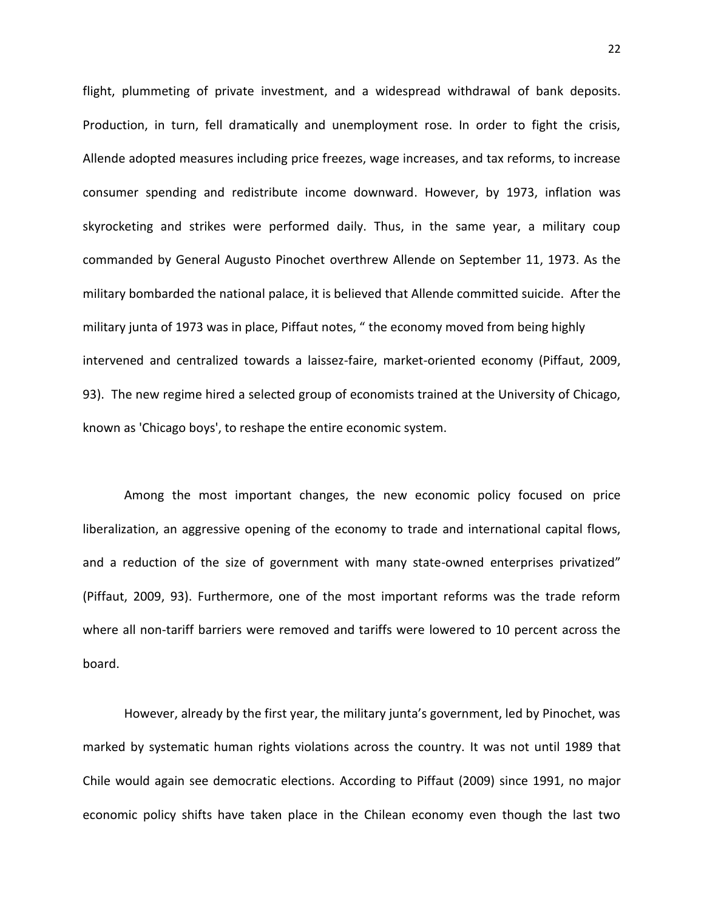flight, plummeting of private investment, and a widespread withdrawal of bank deposits. Production, in turn, fell dramatically and unemployment rose. In order to fight the crisis, Allende adopted measures including price freezes, wage increases, and tax reforms, to increase consumer spending and redistribute income downward. However, by 1973, inflation was skyrocketing and strikes were performed daily. Thus, in the same year, a military coup commanded by General Augusto Pinochet overthrew Allende on September 11, 1973. As the military bombarded the national palace, it is believed that Allende committed suicide. After the military junta of 1973 was in place, Piffaut notes, " the economy moved from being highly intervened and centralized towards a laissez-faire, market-oriented economy (Piffaut, 2009, 93). The new regime hired a selected group of economists trained at the University of Chicago, known as 'Chicago boys', to reshape the entire economic system.

Among the most important changes, the new economic policy focused on price liberalization, an aggressive opening of the economy to trade and international capital flows, and a reduction of the size of government with many state-owned enterprises privatized" (Piffaut, 2009, 93). Furthermore, one of the most important reforms was the trade reform where all non-tariff barriers were removed and tariffs were lowered to 10 percent across the board.

However, already by the first year, the military junta's government, led by Pinochet, was marked by systematic human rights violations across the country. It was not until 1989 that Chile would again see democratic elections. According to Piffaut (2009) since 1991, no major economic policy shifts have taken place in the Chilean economy even though the last two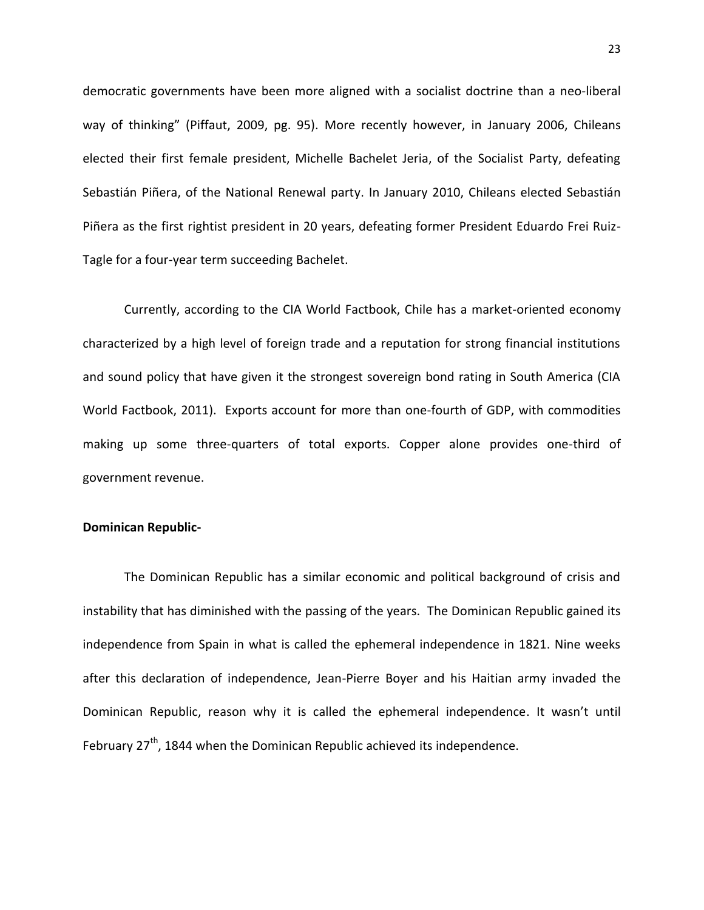democratic governments have been more aligned with a socialist doctrine than a neo-liberal way of thinking" (Piffaut, 2009, pg. 95). More recently however, in January 2006, Chileans elected their first female president, Michelle Bachelet Jeria, of the Socialist Party, defeating Sebastián Piñera, of the National Renewal party. In January 2010, Chileans elected Sebastián Piñera as the first rightist president in 20 years, defeating former President Eduardo Frei Ruiz-Tagle for a four-year term succeeding Bachelet.

Currently, according to the CIA World Factbook, Chile has a market-oriented economy characterized by a high level of foreign trade and a reputation for strong financial institutions and sound policy that have given it the strongest sovereign bond rating in South America (CIA World Factbook, 2011). Exports account for more than one-fourth of GDP, with commodities making up some three-quarters of total exports. Copper alone provides one-third of government revenue.

# **Dominican Republic-**

The Dominican Republic has a similar economic and political background of crisis and instability that has diminished with the passing of the years. The Dominican Republic gained its independence from Spain in what is called the ephemeral independence in 1821. Nine weeks after this declaration of independence, Jean-Pierre Boyer and his Haitian army invaded the Dominican Republic, reason why it is called the ephemeral independence. It wasn't until February  $27<sup>th</sup>$ , 1844 when the Dominican Republic achieved its independence.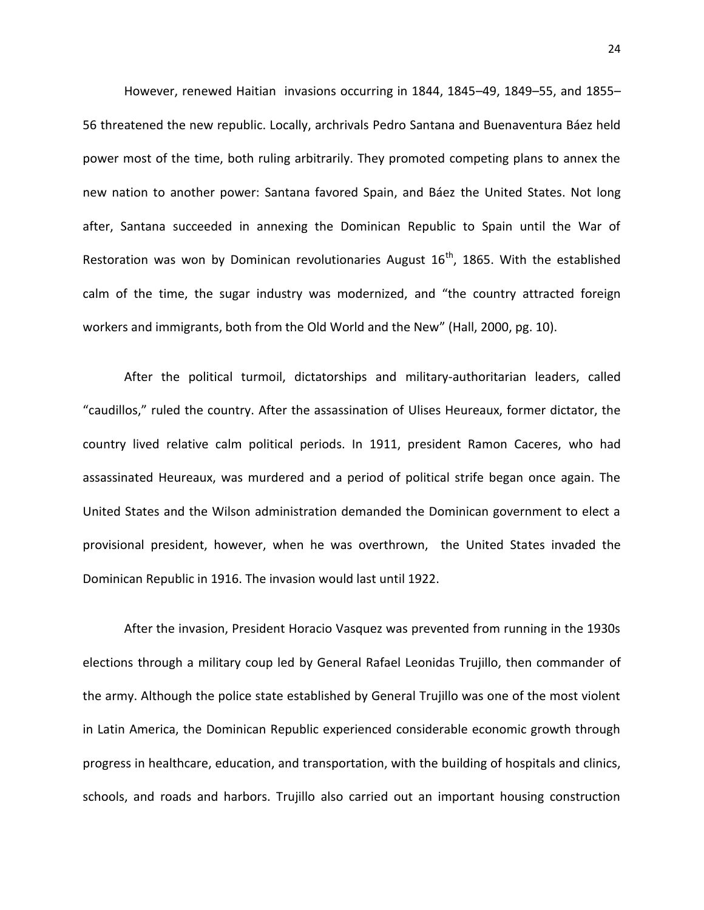However, renewed Haitian invasions occurring in 1844, 1845–49, 1849–55, and 1855– 56 threatened the new republic. Locally, archrivals Pedro Santana and Buenaventura Báez held power most of the time, both ruling arbitrarily. They promoted competing plans to annex the new nation to another power: Santana favored Spain, and Báez the United States. Not long after, Santana succeeded in annexing the Dominican Republic to Spain until the War of Restoration was won by Dominican revolutionaries August  $16<sup>th</sup>$ , 1865. With the established calm of the time, the sugar industry was modernized, and "the country attracted foreign workers and immigrants, both from the Old World and the New" (Hall, 2000, pg. 10).

After the political turmoil, dictatorships and military-authoritarian leaders, called "caudillos," ruled the country. After the assassination of Ulises Heureaux, former dictator, the country lived relative calm political periods. In 1911, president Ramon Caceres, who had assassinated Heureaux, was murdered and a period of political strife began once again. The United States and the Wilson administration demanded the Dominican government to elect a provisional president, however, when he was overthrown, the United States invaded the Dominican Republic in 1916. The invasion would last until 1922.

After the invasion, President Horacio Vasquez was prevented from running in the 1930s elections through a military coup led by General Rafael Leonidas Trujillo, then commander of the army. Although the police state established by General Trujillo was one of the most violent in Latin America, the Dominican Republic experienced considerable economic growth through progress in healthcare, education, and transportation, with the building of hospitals and clinics, schools, and roads and harbors. Trujillo also carried out an important housing construction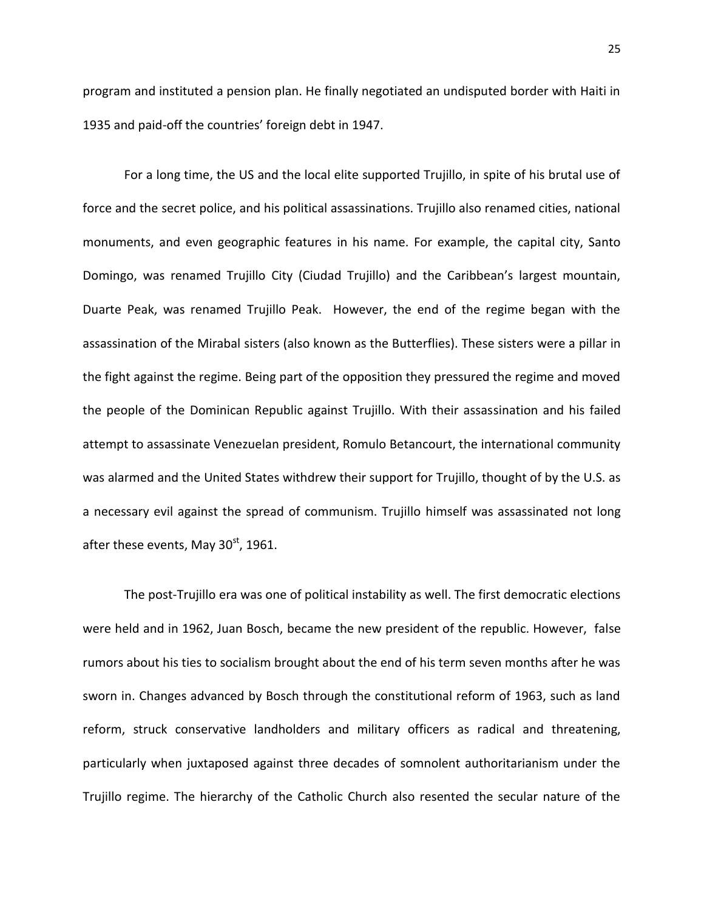program and instituted a pension plan. He finally negotiated an undisputed border with Haiti in 1935 and paid-off the countries' foreign debt in 1947.

For a long time, the US and the local elite supported Trujillo, in spite of his brutal use of force and the secret police, and his political assassinations. Trujillo also renamed cities, national monuments, and even geographic features in his name. For example, the capital city, Santo Domingo, was renamed Trujillo City (Ciudad Trujillo) and the Caribbean's largest mountain, Duarte Peak, was renamed Trujillo Peak. However, the end of the regime began with the assassination of the Mirabal sisters (also known as the Butterflies). These sisters were a pillar in the fight against the regime. Being part of the opposition they pressured the regime and moved the people of the Dominican Republic against Trujillo. With their assassination and his failed attempt to assassinate Venezuelan president, Romulo Betancourt, the international community was alarmed and the United States withdrew their support for Trujillo, thought of by the U.S. as a necessary evil against the spread of communism. Trujillo himself was assassinated not long after these events, May  $30<sup>st</sup>$ , 1961.

The post-Trujillo era was one of political instability as well. The first democratic elections were held and in 1962, Juan Bosch, became the new president of the republic. However, false rumors about his ties to socialism brought about the end of his term seven months after he was sworn in. Changes advanced by Bosch through the constitutional reform of 1963, such as land reform, struck conservative landholders and military officers as radical and threatening, particularly when juxtaposed against three decades of somnolent authoritarianism under the Trujillo regime. The hierarchy of the Catholic Church also resented the secular nature of the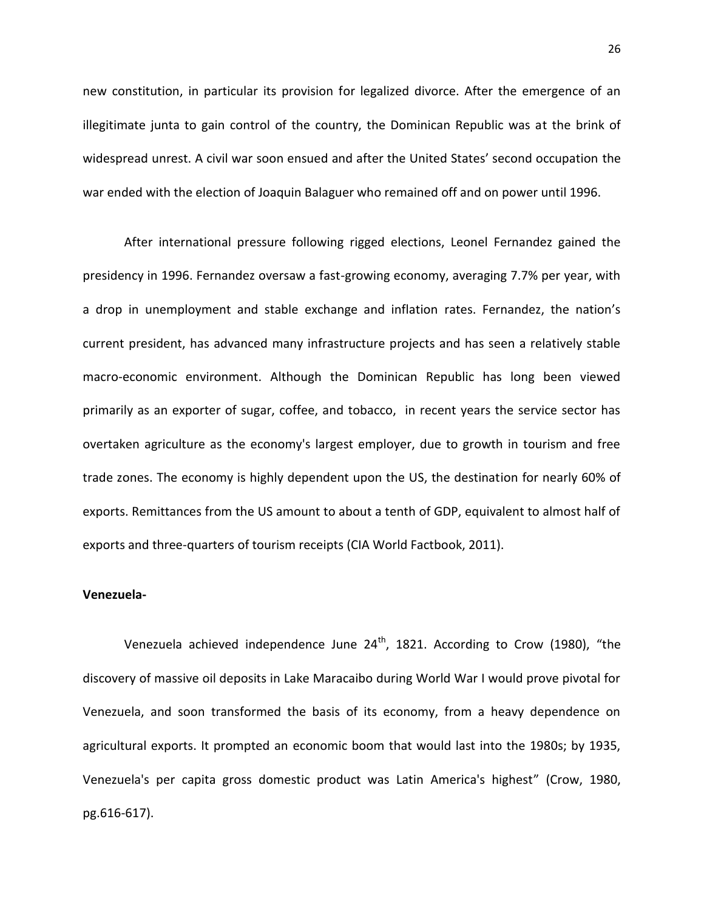new constitution, in particular its provision for legalized divorce. After the emergence of an illegitimate junta to gain control of the country, the Dominican Republic was at the brink of widespread unrest. A civil war soon ensued and after the United States' second occupation the war ended with the election of Joaquin Balaguer who remained off and on power until 1996.

After international pressure following rigged elections, Leonel Fernandez gained the presidency in 1996. Fernandez oversaw a fast-growing economy, averaging 7.7% per year, with a drop in unemployment and stable exchange and inflation rates. Fernandez, the nation's current president, has advanced many infrastructure projects and has seen a relatively stable macro-economic environment. Although the Dominican Republic has long been viewed primarily as an exporter of sugar, coffee, and tobacco, in recent years the service sector has overtaken agriculture as the economy's largest employer, due to growth in tourism and free trade zones. The economy is highly dependent upon the US, the destination for nearly 60% of exports. Remittances from the US amount to about a tenth of GDP, equivalent to almost half of exports and three-quarters of tourism receipts (CIA World Factbook, 2011).

# **Venezuela-**

Venezuela achieved independence June  $24^{th}$ , 1821. According to Crow (1980), "the discovery of massive oil deposits in Lake Maracaibo during World War I would prove pivotal for Venezuela, and soon transformed the basis of its economy, from a heavy dependence on agricultural exports. It prompted an economic boom that would last into the 1980s; by 1935, Venezuela's per capita gross domestic product was Latin America's highest" (Crow, 1980, pg.616-617).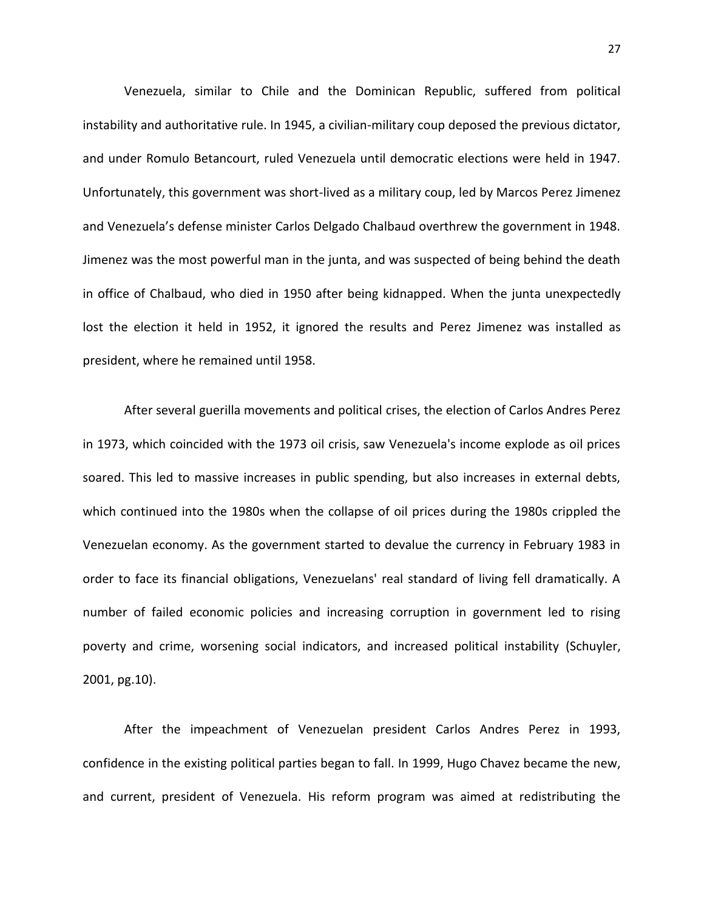Venezuela, similar to Chile and the Dominican Republic, suffered from political instability and authoritative rule. In 1945, a civilian-military coup deposed the previous dictator, and under Romulo Betancourt, ruled Venezuela until democratic elections were held in 1947. Unfortunately, this government was short-lived as a military coup, led by Marcos Perez Jimenez and Venezuela's defense minister Carlos Delgado Chalbaud overthrew the government in 1948. Jimenez was the most powerful man in the junta, and was suspected of being behind the death in office of Chalbaud, who died in 1950 after being kidnapped. When the junta unexpectedly lost the election it held in 1952, it ignored the results and Perez Jimenez was installed as president, where he remained until 1958.

After several guerilla movements and political crises, the election of Carlos Andres Perez in 1973, which coincided with the 1973 oil crisis, saw Venezuela's income explode as oil prices soared. This led to massive increases in public spending, but also increases in external debts, which continued into the 1980s when the collapse of oil prices during the 1980s crippled the Venezuelan economy. As the government started to devalue the currency in February 1983 in order to face its financial obligations, Venezuelans' real standard of living fell dramatically. A number of failed economic policies and increasing corruption in government led to rising poverty and crime, worsening social indicators, and increased political instability (Schuyler, 2001, pg.10).

After the impeachment of Venezuelan president Carlos Andres Perez in 1993, confidence in the existing political parties began to fall. In 1999, Hugo Chavez became the new, and current, president of Venezuela. His reform program was aimed at redistributing the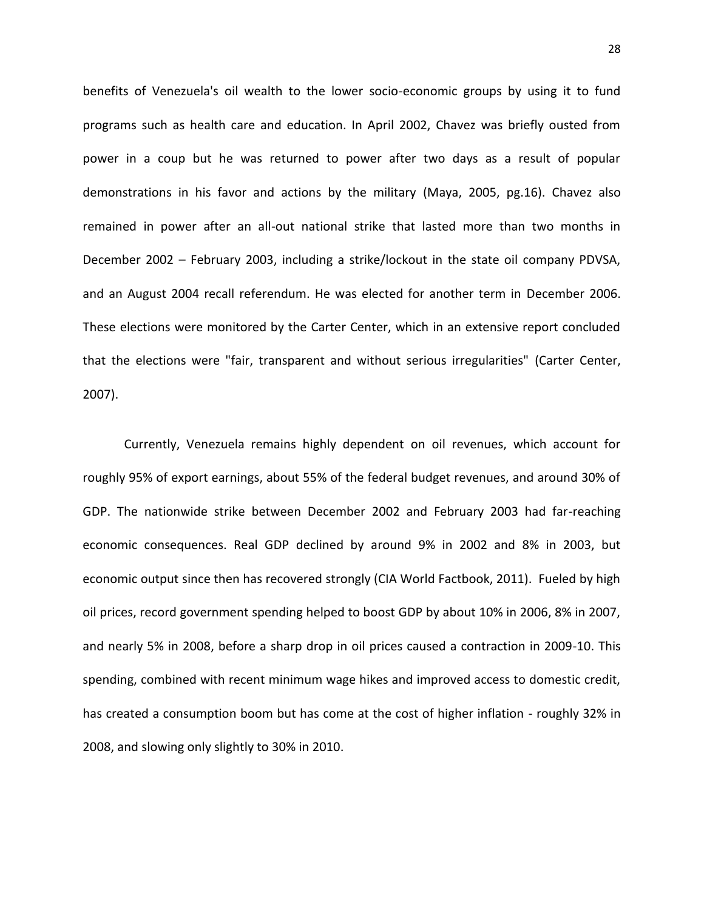benefits of Venezuela's oil wealth to the lower socio-economic groups by using it to fund programs such as health care and education. In April 2002, Chavez was briefly ousted from power in a coup but he was returned to power after two days as a result of popular demonstrations in his favor and actions by the military (Maya, 2005, pg.16). Chavez also remained in power after an all-out national strike that lasted more than two months in December 2002 – February 2003, including a strike/lockout in the state oil company PDVSA, and an August 2004 recall referendum. He was elected for another term in December 2006. These elections were monitored by the Carter Center, which in an extensive report concluded that the elections were "fair, transparent and without serious irregularities" (Carter Center, 2007).

Currently, Venezuela remains highly dependent on oil revenues, which account for roughly 95% of export earnings, about 55% of the federal budget revenues, and around 30% of GDP. The nationwide strike between December 2002 and February 2003 had far-reaching economic consequences. Real GDP declined by around 9% in 2002 and 8% in 2003, but economic output since then has recovered strongly (CIA World Factbook, 2011). Fueled by high oil prices, record government spending helped to boost GDP by about 10% in 2006, 8% in 2007, and nearly 5% in 2008, before a sharp drop in oil prices caused a contraction in 2009-10. This spending, combined with recent minimum wage hikes and improved access to domestic credit, has created a consumption boom but has come at the cost of higher inflation - roughly 32% in 2008, and slowing only slightly to 30% in 2010.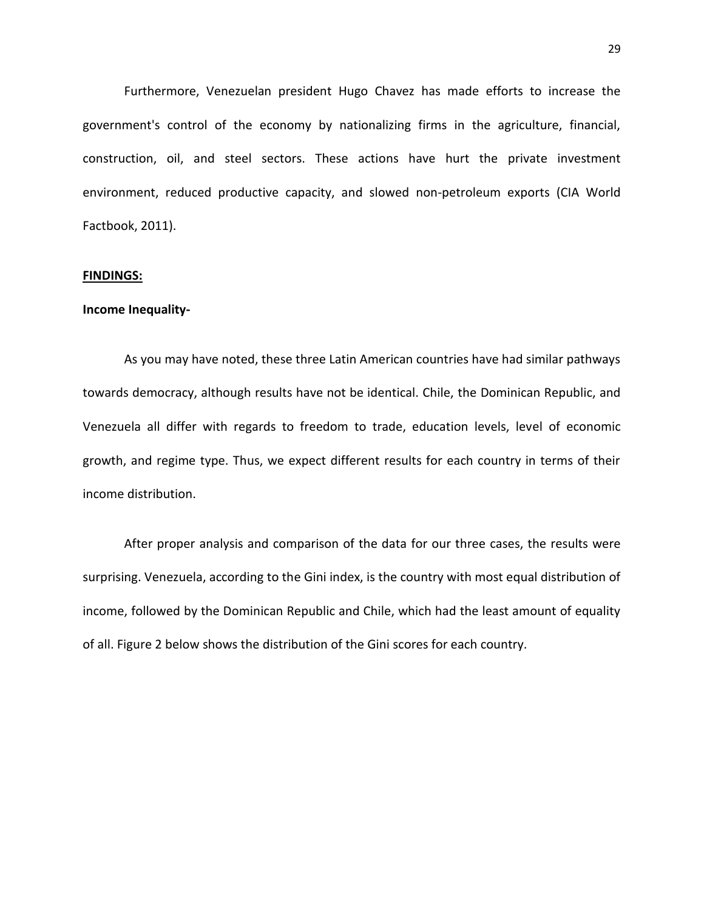Furthermore, Venezuelan president Hugo Chavez has made efforts to increase the government's control of the economy by nationalizing firms in the agriculture, financial, construction, oil, and steel sectors. These actions have hurt the private investment environment, reduced productive capacity, and slowed non-petroleum exports (CIA World Factbook, 2011).

#### **FINDINGS:**

# **Income Inequality-**

As you may have noted, these three Latin American countries have had similar pathways towards democracy, although results have not be identical. Chile, the Dominican Republic, and Venezuela all differ with regards to freedom to trade, education levels, level of economic growth, and regime type. Thus, we expect different results for each country in terms of their income distribution.

After proper analysis and comparison of the data for our three cases, the results were surprising. Venezuela, according to the Gini index, is the country with most equal distribution of income, followed by the Dominican Republic and Chile, which had the least amount of equality of all. Figure 2 below shows the distribution of the Gini scores for each country.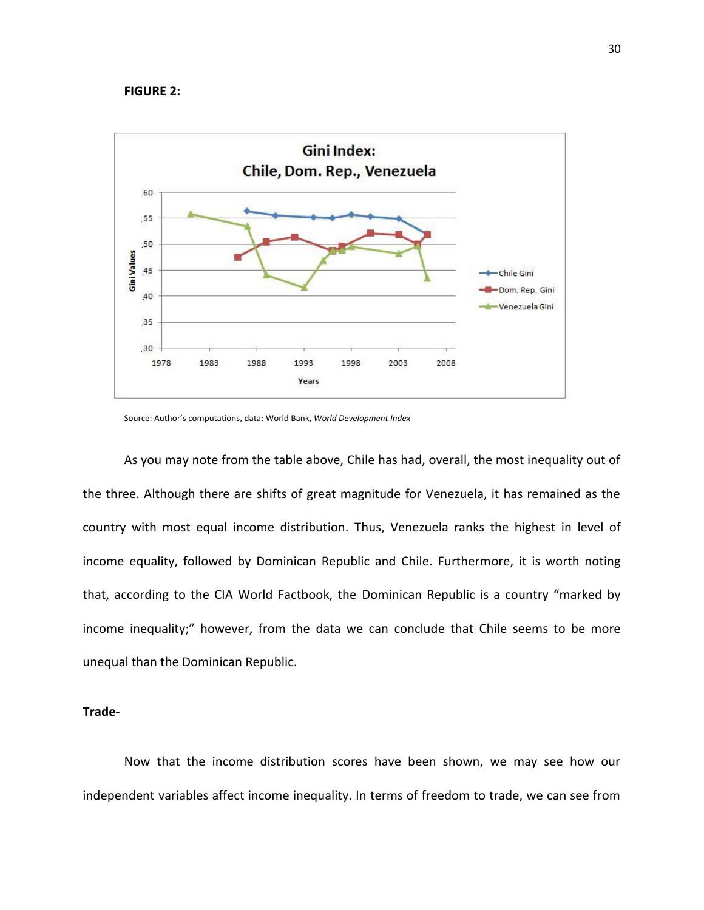#### **FIGURE 2:**



Source: Author's computations, data: World Bank, *World Development Index*

As you may note from the table above, Chile has had, overall, the most inequality out of the three. Although there are shifts of great magnitude for Venezuela, it has remained as the country with most equal income distribution. Thus, Venezuela ranks the highest in level of income equality, followed by Dominican Republic and Chile. Furthermore, it is worth noting that, according to the CIA World Factbook, the Dominican Republic is a country "marked by income inequality;" however, from the data we can conclude that Chile seems to be more unequal than the Dominican Republic.

# **Trade-**

Now that the income distribution scores have been shown, we may see how our independent variables affect income inequality. In terms of freedom to trade, we can see from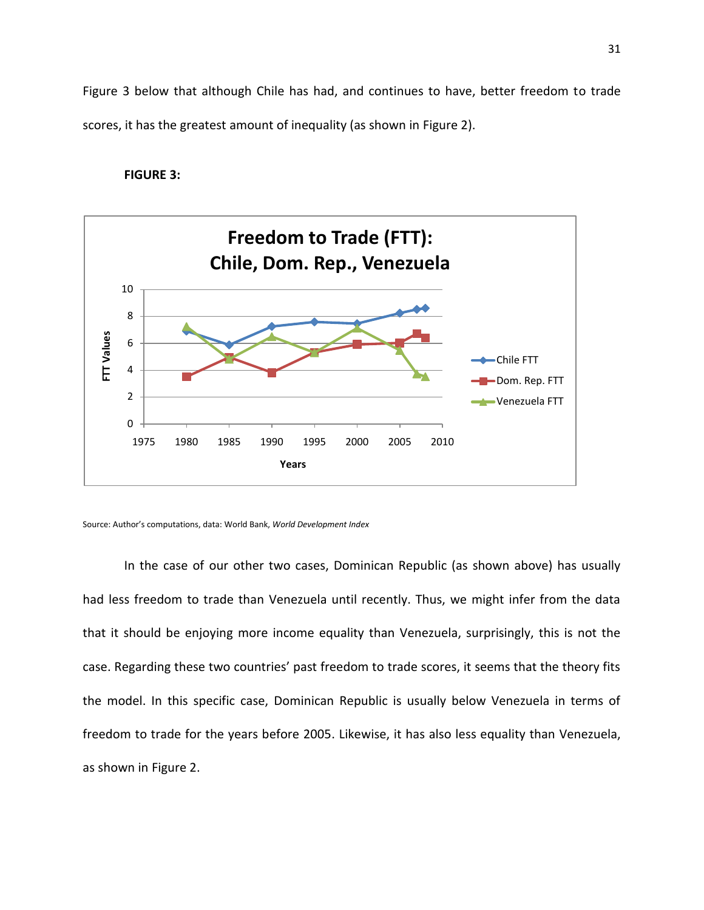Figure 3 below that although Chile has had, and continues to have, better freedom to trade scores, it has the greatest amount of inequality (as shown in Figure 2).

# **FIGURE 3:**



Source: Author's computations, data: World Bank, *World Development Index*

In the case of our other two cases, Dominican Republic (as shown above) has usually had less freedom to trade than Venezuela until recently. Thus, we might infer from the data that it should be enjoying more income equality than Venezuela, surprisingly, this is not the case. Regarding these two countries' past freedom to trade scores, it seems that the theory fits the model. In this specific case, Dominican Republic is usually below Venezuela in terms of freedom to trade for the years before 2005. Likewise, it has also less equality than Venezuela, as shown in Figure 2.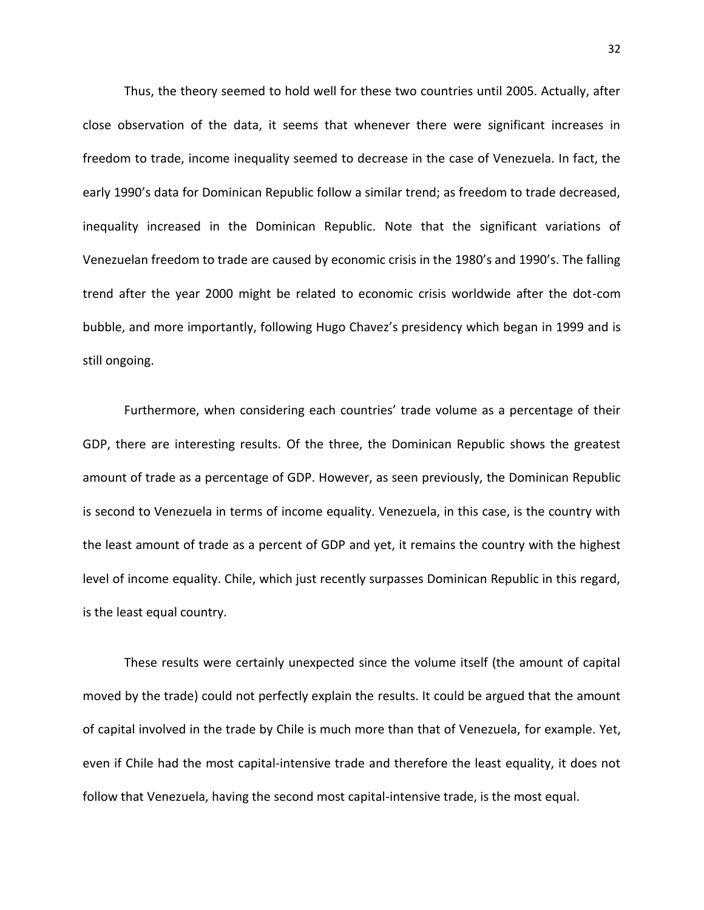Thus, the theory seemed to hold well for these two countries until 2005. Actually, after close observation of the data, it seems that whenever there were significant increases in freedom to trade, income inequality seemed to decrease in the case of Venezuela. In fact, the early 1990's data for Dominican Republic follow a similar trend; as freedom to trade decreased, inequality increased in the Dominican Republic. Note that the significant variations of Venezuelan freedom to trade are caused by economic crisis in the 1980's and 1990's. The falling trend after the year 2000 might be related to economic crisis worldwide after the dot-com bubble, and more importantly, following Hugo Chavez's presidency which began in 1999 and is still ongoing.

Furthermore, when considering each countries' trade volume as a percentage of their GDP, there are interesting results. Of the three, the Dominican Republic shows the greatest amount of trade as a percentage of GDP. However, as seen previously, the Dominican Republic is second to Venezuela in terms of income equality. Venezuela, in this case, is the country with the least amount of trade as a percent of GDP and yet, it remains the country with the highest level of income equality. Chile, which just recently surpasses Dominican Republic in this regard, is the least equal country.

These results were certainly unexpected since the volume itself (the amount of capital moved by the trade) could not perfectly explain the results. It could be argued that the amount of capital involved in the trade by Chile is much more than that of Venezuela, for example. Yet, even if Chile had the most capital-intensive trade and therefore the least equality, it does not follow that Venezuela, having the second most capital-intensive trade, is the most equal.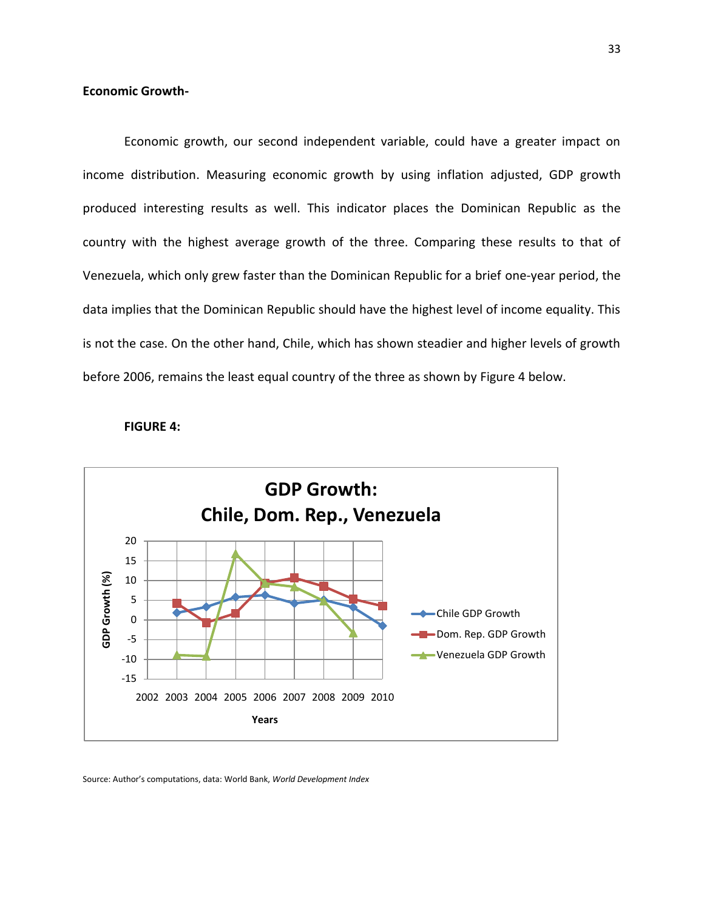# **Economic Growth-**

Economic growth, our second independent variable, could have a greater impact on income distribution. Measuring economic growth by using inflation adjusted, GDP growth produced interesting results as well. This indicator places the Dominican Republic as the country with the highest average growth of the three. Comparing these results to that of Venezuela, which only grew faster than the Dominican Republic for a brief one-year period, the data implies that the Dominican Republic should have the highest level of income equality. This is not the case. On the other hand, Chile, which has shown steadier and higher levels of growth before 2006, remains the least equal country of the three as shown by Figure 4 below.





Source: Author's computations, data: World Bank, *World Development Index*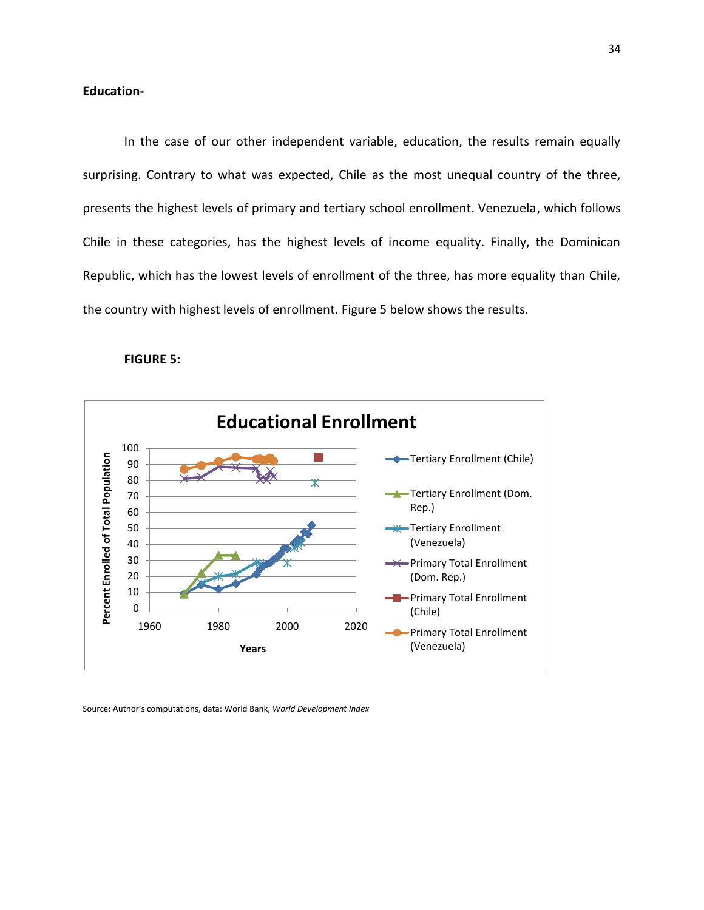# **Education-**

In the case of our other independent variable, education, the results remain equally surprising. Contrary to what was expected, Chile as the most unequal country of the three, presents the highest levels of primary and tertiary school enrollment. Venezuela, which follows Chile in these categories, has the highest levels of income equality. Finally, the Dominican Republic, which has the lowest levels of enrollment of the three, has more equality than Chile, the country with highest levels of enrollment. Figure 5 below shows the results.

#### **FIGURE 5:**



Source: Author's computations, data: World Bank, *World Development Index*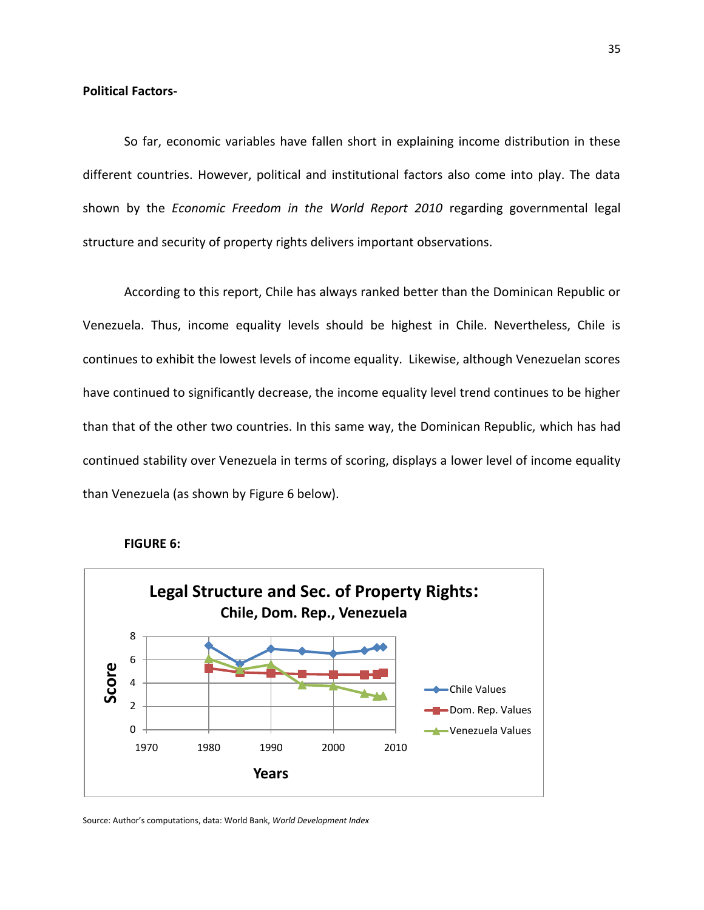# **Political Factors-**

So far, economic variables have fallen short in explaining income distribution in these different countries. However, political and institutional factors also come into play. The data shown by the *Economic Freedom in the World Report 2010* regarding governmental legal structure and security of property rights delivers important observations.

According to this report, Chile has always ranked better than the Dominican Republic or Venezuela. Thus, income equality levels should be highest in Chile. Nevertheless, Chile is continues to exhibit the lowest levels of income equality. Likewise, although Venezuelan scores have continued to significantly decrease, the income equality level trend continues to be higher than that of the other two countries. In this same way, the Dominican Republic, which has had continued stability over Venezuela in terms of scoring, displays a lower level of income equality than Venezuela (as shown by Figure 6 below).



#### **FIGURE 6:**

Source: Author's computations, data: World Bank, *World Development Index*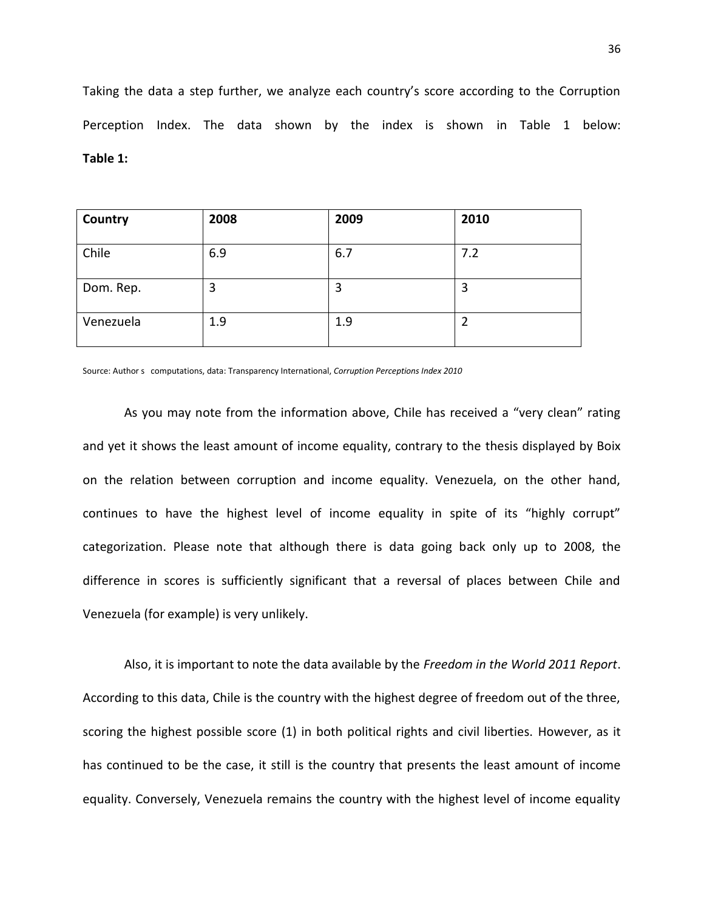Taking the data a step further, we analyze each country's score according to the Corruption Perception Index. The data shown by the index is shown in Table 1 below: **Table 1:**

| Country   | 2008 | 2009 | 2010 |
|-----------|------|------|------|
| Chile     | 6.9  | 6.7  | 7.2  |
| Dom. Rep. | 3    | 3    | 3    |
| Venezuela | 1.9  | 1.9  | 2    |

Source: Author s computations, data: Transparency International, *Corruption Perceptions Index 2010*

As you may note from the information above, Chile has received a "very clean" rating and yet it shows the least amount of income equality, contrary to the thesis displayed by Boix on the relation between corruption and income equality. Venezuela, on the other hand, continues to have the highest level of income equality in spite of its "highly corrupt" categorization. Please note that although there is data going back only up to 2008, the difference in scores is sufficiently significant that a reversal of places between Chile and Venezuela (for example) is very unlikely.

Also, it is important to note the data available by the *Freedom in the World 2011 Report*. According to this data, Chile is the country with the highest degree of freedom out of the three, scoring the highest possible score (1) in both political rights and civil liberties. However, as it has continued to be the case, it still is the country that presents the least amount of income equality. Conversely, Venezuela remains the country with the highest level of income equality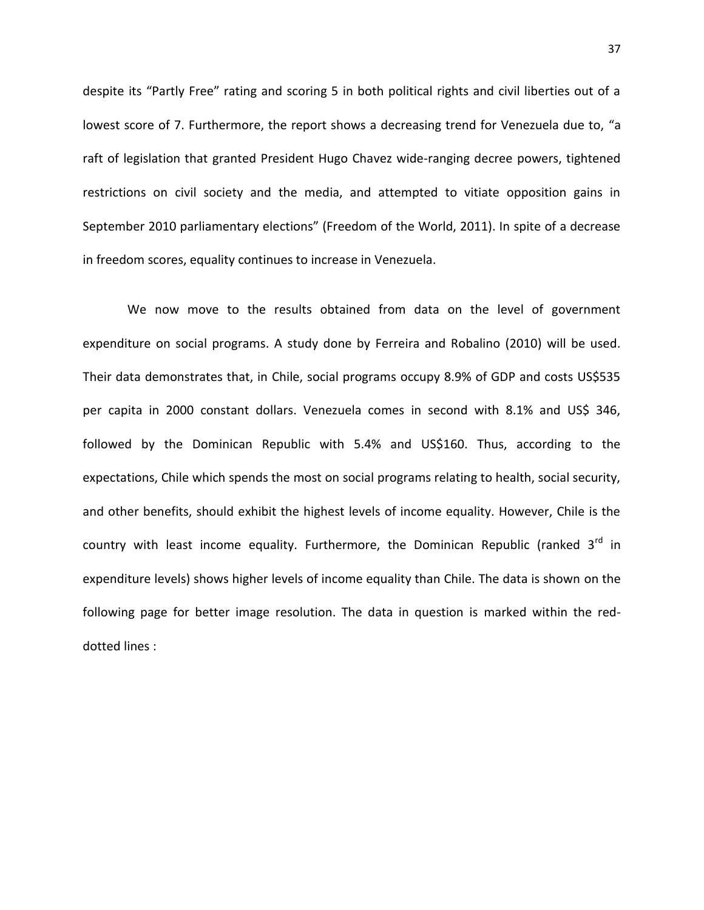despite its "Partly Free" rating and scoring 5 in both political rights and civil liberties out of a lowest score of 7. Furthermore, the report shows a decreasing trend for Venezuela due to, "a raft of legislation that granted President Hugo Chavez wide-ranging decree powers, tightened restrictions on civil society and the media, and attempted to vitiate opposition gains in September 2010 parliamentary elections" (Freedom of the World, 2011). In spite of a decrease in freedom scores, equality continues to increase in Venezuela.

We now move to the results obtained from data on the level of government expenditure on social programs. A study done by Ferreira and Robalino (2010) will be used. Their data demonstrates that, in Chile, social programs occupy 8.9% of GDP and costs US\$535 per capita in 2000 constant dollars. Venezuela comes in second with 8.1% and US\$ 346, followed by the Dominican Republic with 5.4% and US\$160. Thus, according to the expectations, Chile which spends the most on social programs relating to health, social security, and other benefits, should exhibit the highest levels of income equality. However, Chile is the country with least income equality. Furthermore, the Dominican Republic (ranked  $3^{rd}$  in expenditure levels) shows higher levels of income equality than Chile. The data is shown on the following page for better image resolution. The data in question is marked within the reddotted lines :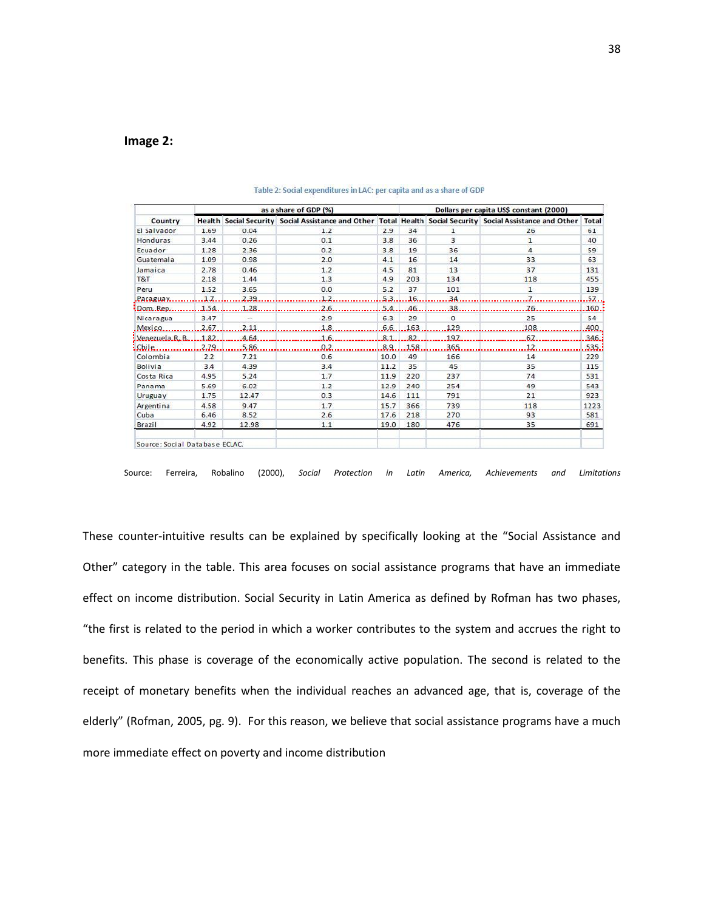# **Image 2:**

|                                | as a share of GDP (%) |       |                                                                                                                   |      | Dollars per capita US\$ constant (2000) |              |              |      |
|--------------------------------|-----------------------|-------|-------------------------------------------------------------------------------------------------------------------|------|-----------------------------------------|--------------|--------------|------|
| Country                        |                       |       | Health Social Security Social Assistance and Other Total Health Social Security Social Assistance and Other Total |      |                                         |              |              |      |
| El Salvador                    | 1.69                  | 0.04  | 1.2                                                                                                               | 2.9  | 34                                      | $\mathbf{1}$ | 26           | 61   |
| Honduras                       | 3.44                  | 0.26  | 0.1                                                                                                               | 3.8  | 36                                      | 3            | $\mathbf{1}$ | 40   |
| Ecuador                        | 1.28                  | 2.36  | 0.2                                                                                                               | 3.8  | 19                                      | 36           | 4            | 59   |
| Guatemala                      | 1.09                  | 0.98  | 2.0                                                                                                               | 4.1  | 16                                      | 14           | 33           | 63   |
| Jamaica                        | 2.78                  | 0.46  | 1.2                                                                                                               | 4.5  | 81                                      | 13           | 37           | 131  |
| T&T                            | 2.18                  | 1.44  | 1.3                                                                                                               | 4.9  | 203                                     | 134          | 118          | 455  |
| Peru                           | 1.52                  | 3.65  | 0.0                                                                                                               | 5.2  | 37                                      | 101          | $\mathbf{1}$ | 139  |
| .Pateguay.                     | 1.7.                  | 2.39  | 1.2                                                                                                               | 5.3. | 16.                                     | 34           |              | 57   |
| :Rom.Rep.                      | 1,54                  | 1.28  | 2.6                                                                                                               | 5.4. | 46.                                     | 38           |              | 160. |
| Nicaragua                      | 3.47                  |       | 2.9                                                                                                               | 6.3  | 29                                      | $\Omega$     | 25           | 54   |
| Mexico                         | 2.67                  | 2.11  | 1.8                                                                                                               | 6.6  | 163                                     | 129          | 108          | 400. |
| Venezuela R.B.                 | 1.82                  | 4,64  | 1.6                                                                                                               | 8.1  | 82                                      | 197          | 67           | 346. |
| : Chile.                       | .2.79.                | 5.86. | 0.2                                                                                                               | 8.9. | 158                                     | 365          | 12           | 535. |
| Colombia                       | 2.2                   | 7.21  | 0.6                                                                                                               | 10.0 | 49                                      | 166          | 14           | 229  |
| <b>Bolivia</b>                 | 3.4                   | 4.39  | 3.4                                                                                                               | 11.2 | 35                                      | 45           | 35           | 115  |
| Costa Rica                     | 4.95                  | 5.24  | 1.7                                                                                                               | 11.9 | 220                                     | 237          | 74           | 531  |
| Panama                         | 5.69                  | 6.02  | 1.2                                                                                                               | 12.9 | 240                                     | 254          | 49           | 543  |
| Uruguay                        | 1.75                  | 12.47 | 0.3                                                                                                               | 14.6 | 111                                     | 791          | 21           | 923  |
| Argentina                      | 4.58                  | 9.47  | 1.7                                                                                                               | 15.7 | 366                                     | 739          | 118          | 1223 |
| Cuba                           | 6.46                  | 8.52  | 2.6                                                                                                               | 17.6 | 218                                     | 270          | 93           | 581  |
| Brazil                         | 4.92                  | 12.98 | 1.1                                                                                                               | 19.0 | 180                                     | 476          | 35           | 691  |
|                                |                       |       |                                                                                                                   |      |                                         |              |              |      |
| Source: Social Database ECLAC. |                       |       |                                                                                                                   |      |                                         |              |              |      |

#### Table 2: Social expenditures in LAC: per capita and as a share of GDP

Source: Ferreira, Robalino (2000), *Social Protection in Latin America, Achievements and Limitations*

These counter-intuitive results can be explained by specifically looking at the "Social Assistance and Other" category in the table. This area focuses on social assistance programs that have an immediate effect on income distribution. Social Security in Latin America as defined by Rofman has two phases, "the first is related to the period in which a worker contributes to the system and accrues the right to benefits. This phase is coverage of the economically active population. The second is related to the receipt of monetary benefits when the individual reaches an advanced age, that is, coverage of the elderly" (Rofman, 2005, pg. 9). For this reason, we believe that social assistance programs have a much more immediate effect on poverty and income distribution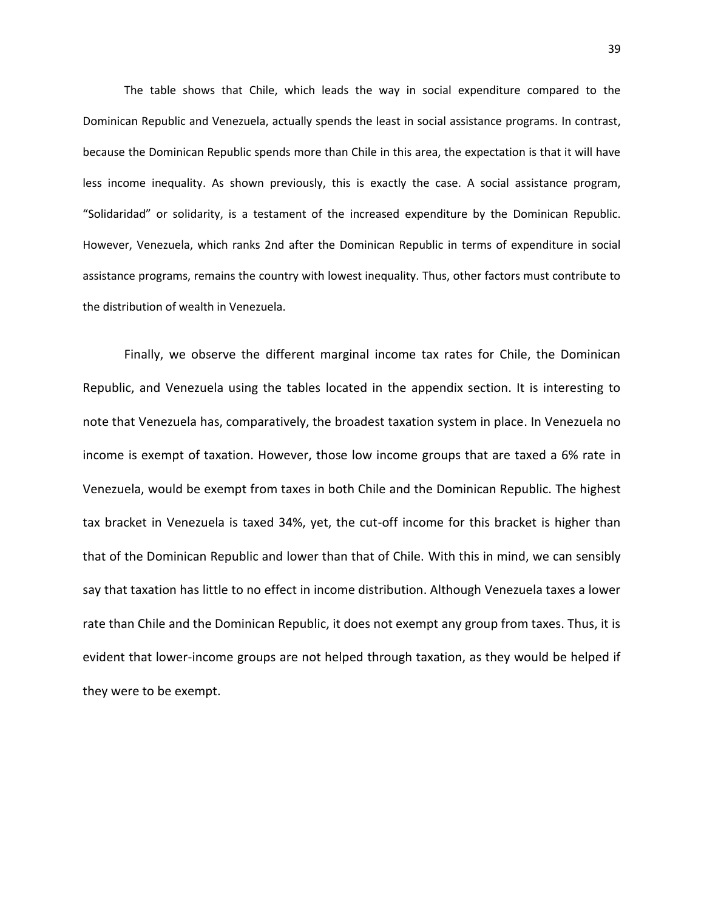The table shows that Chile, which leads the way in social expenditure compared to the Dominican Republic and Venezuela, actually spends the least in social assistance programs. In contrast, because the Dominican Republic spends more than Chile in this area, the expectation is that it will have less income inequality. As shown previously, this is exactly the case. A social assistance program, "Solidaridad" or solidarity, is a testament of the increased expenditure by the Dominican Republic. However, Venezuela, which ranks 2nd after the Dominican Republic in terms of expenditure in social assistance programs, remains the country with lowest inequality. Thus, other factors must contribute to the distribution of wealth in Venezuela.

Finally, we observe the different marginal income tax rates for Chile, the Dominican Republic, and Venezuela using the tables located in the appendix section. It is interesting to note that Venezuela has, comparatively, the broadest taxation system in place. In Venezuela no income is exempt of taxation. However, those low income groups that are taxed a 6% rate in Venezuela, would be exempt from taxes in both Chile and the Dominican Republic. The highest tax bracket in Venezuela is taxed 34%, yet, the cut-off income for this bracket is higher than that of the Dominican Republic and lower than that of Chile. With this in mind, we can sensibly say that taxation has little to no effect in income distribution. Although Venezuela taxes a lower rate than Chile and the Dominican Republic, it does not exempt any group from taxes. Thus, it is evident that lower-income groups are not helped through taxation, as they would be helped if they were to be exempt.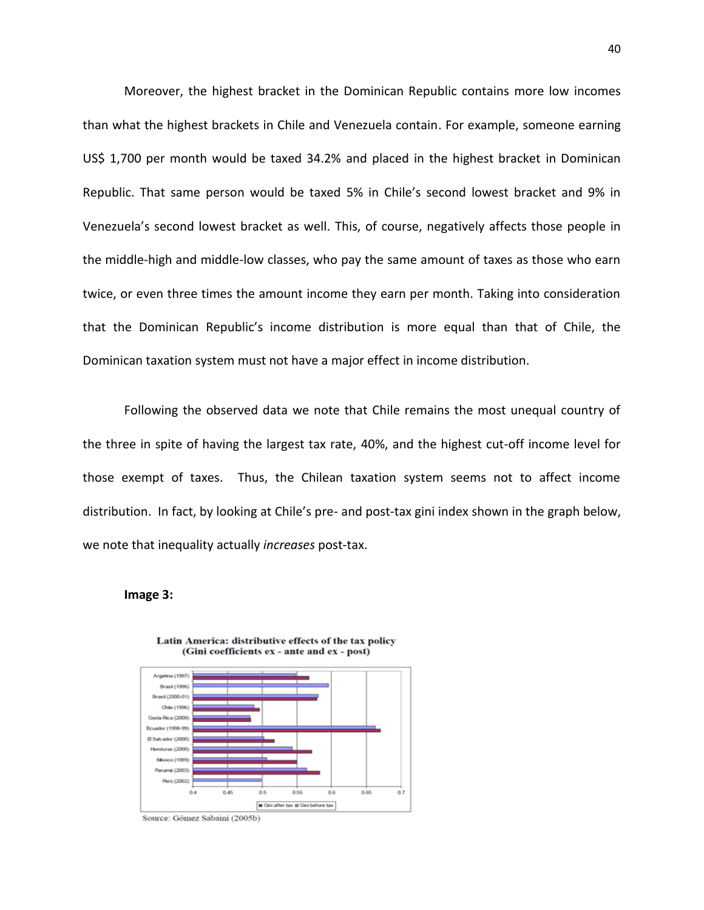Moreover, the highest bracket in the Dominican Republic contains more low incomes than what the highest brackets in Chile and Venezuela contain. For example, someone earning US\$ 1,700 per month would be taxed 34.2% and placed in the highest bracket in Dominican Republic. That same person would be taxed 5% in Chile's second lowest bracket and 9% in Venezuela's second lowest bracket as well. This, of course, negatively affects those people in the middle-high and middle-low classes, who pay the same amount of taxes as those who earn twice, or even three times the amount income they earn per month. Taking into consideration that the Dominican Republic's income distribution is more equal than that of Chile, the Dominican taxation system must not have a major effect in income distribution.

Following the observed data we note that Chile remains the most unequal country of the three in spite of having the largest tax rate, 40%, and the highest cut-off income level for those exempt of taxes. Thus, the Chilean taxation system seems not to affect income distribution. In fact, by looking at Chile's pre- and post-tax gini index shown in the graph below, we note that inequality actually *increases* post-tax.

#### **Image 3:**



Latin America: distributive effects of the tax policy (Gini coefficients ex - ante and ex - post)

Source: Gómez Sabaini (2005b)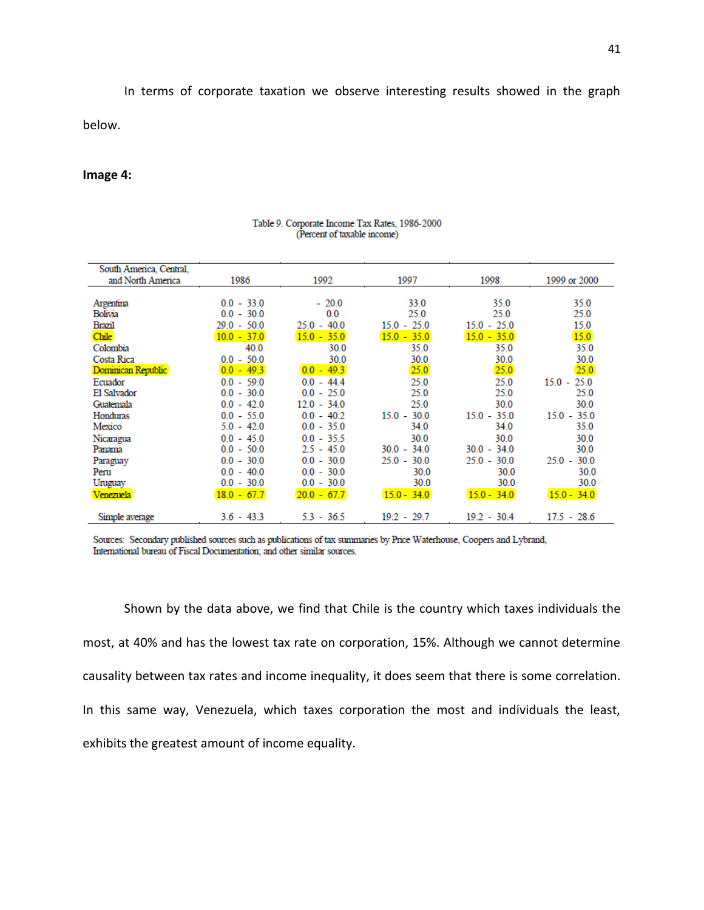In terms of corporate taxation we observe interesting results showed in the graph below.

#### **Image 4:**

| South America, Central, |               |               |               |               |               |
|-------------------------|---------------|---------------|---------------|---------------|---------------|
| and North America       | 1986          | 1992          | 1997          | 1998          | 1999 or 2000  |
|                         |               |               |               |               |               |
| Argentina               | $0.0 - 33.0$  | $-20.0$       | 33.0          | 35.0          | 35.0          |
| Bolivia                 | $0.0 - 30.0$  | 0.0           | 25.0          | 25.0          | 25.0          |
| Brazil                  | $29.0 - 50.0$ | $25.0 - 40.0$ | $15.0 - 25.0$ | $15.0 - 25.0$ | 15.0          |
| Chile                   | $10.0 - 37.0$ | $15.0 - 35.0$ | $15.0 - 35.0$ | $15.0 - 35.0$ | 15.0          |
| Colombia                | 40.0          | 30.0          | 35.0          | 35.0          | 35.0          |
| Costa Rica              | $0.0 - 50.0$  | 30.0          | 30.0          | 30.0          | 30.0          |
| Dominican Republic      | $0.0 - 49.3$  | $0.0 - 49.3$  | 25.0          | 25.0          | 25.0          |
| Ecuador                 | $0.0 - 59.0$  | $0.0 - 44.4$  | 25.0          | 25.0          | $15.0 - 25.0$ |
| El Salvador             | $0.0 - 30.0$  | $0.0 - 25.0$  | 25.0          | 25.0          | 25.0          |
| Guatemala               | $0.0 - 42.0$  | $12.0 - 34.0$ | 25.0          | 30.0          | 30.0          |
| Honduras                | $0.0 - 55.0$  | $0.0 - 40.2$  | $15.0 - 30.0$ | $15.0 - 35.0$ | $15.0 - 35.0$ |
| Mexico                  | $5.0 - 42.0$  | $0.0 - 35.0$  | 34.0          | 34.0          | 35.0          |
| Nicaragua               | $0.0 - 45.0$  | $0.0 - 35.5$  | 30.0          | 30.0          | 30.0          |
| Panama                  | $0.0 - 50.0$  | $2.5 - 45.0$  | $30.0 - 34.0$ | $30.0 - 34.0$ | 30.0          |
| Paraguay                | $0.0 - 30.0$  | $0.0 - 30.0$  | $25.0 - 30.0$ | $25.0 - 30.0$ | $25.0 - 30.0$ |
| Peru                    | $0.0 - 40.0$  | $0.0 - 30.0$  | 30.0          | 30.0          | 30.0          |
| Uruguay                 | $0.0 - 30.0$  | $0.0 - 30.0$  | 30.0          | 30.0          | 30.0          |
| Venezuela               | $18.0 - 67.7$ | $20.0 - 67.7$ | $15.0 - 34.0$ | $15.0 - 34.0$ | $15.0 - 34.0$ |
|                         |               |               |               |               |               |
| Simple average          | $3.6 - 43.3$  | $5.3 - 36.5$  | $19.2 - 29.7$ | $19.2 - 30.4$ | $17.5 - 28.6$ |

#### Table 9. Corporate Income Tax Rates, 1986-2000 (Percent of taxable income)

Sources: Secondary published sources such as publications of tax summaries by Price Waterhouse, Coopers and Lybrand, International bureau of Fiscal Documentation; and other similar sources.

Shown by the data above, we find that Chile is the country which taxes individuals the most, at 40% and has the lowest tax rate on corporation, 15%. Although we cannot determine causality between tax rates and income inequality, it does seem that there is some correlation. In this same way, Venezuela, which taxes corporation the most and individuals the least, exhibits the greatest amount of income equality.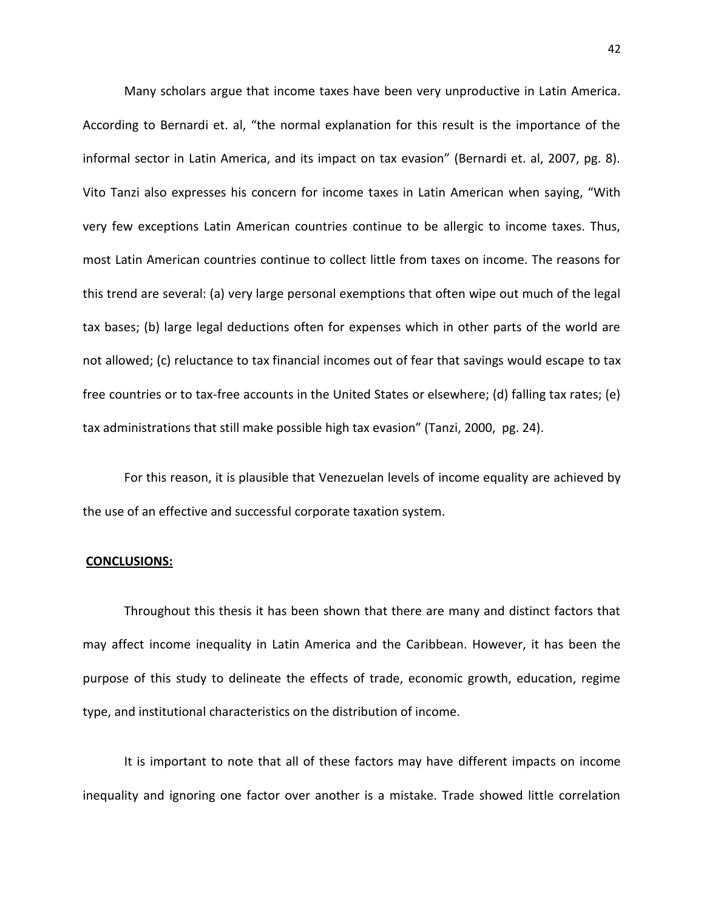Many scholars argue that income taxes have been very unproductive in Latin America. According to Bernardi et. al, "the normal explanation for this result is the importance of the informal sector in Latin America, and its impact on tax evasion" (Bernardi et. al, 2007, pg. 8). Vito Tanzi also expresses his concern for income taxes in Latin American when saying, "With very few exceptions Latin American countries continue to be allergic to income taxes. Thus, most Latin American countries continue to collect little from taxes on income. The reasons for this trend are several: (a) very large personal exemptions that often wipe out much of the legal tax bases; (b) large legal deductions often for expenses which in other parts of the world are not allowed; (c) reluctance to tax financial incomes out of fear that savings would escape to tax free countries or to tax-free accounts in the United States or elsewhere; (d) falling tax rates; (e) tax administrations that still make possible high tax evasion" (Tanzi, 2000, pg. 24).

For this reason, it is plausible that Venezuelan levels of income equality are achieved by the use of an effective and successful corporate taxation system.

#### **CONCLUSIONS:**

Throughout this thesis it has been shown that there are many and distinct factors that may affect income inequality in Latin America and the Caribbean. However, it has been the purpose of this study to delineate the effects of trade, economic growth, education, regime type, and institutional characteristics on the distribution of income.

It is important to note that all of these factors may have different impacts on income inequality and ignoring one factor over another is a mistake. Trade showed little correlation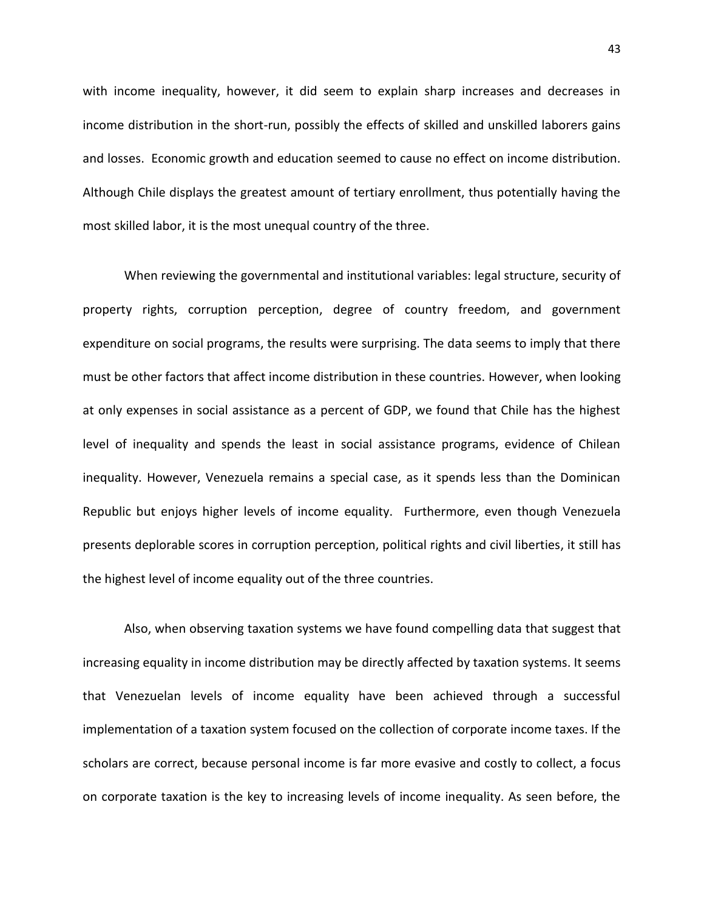with income inequality, however, it did seem to explain sharp increases and decreases in income distribution in the short-run, possibly the effects of skilled and unskilled laborers gains and losses. Economic growth and education seemed to cause no effect on income distribution. Although Chile displays the greatest amount of tertiary enrollment, thus potentially having the most skilled labor, it is the most unequal country of the three.

When reviewing the governmental and institutional variables: legal structure, security of property rights, corruption perception, degree of country freedom, and government expenditure on social programs, the results were surprising. The data seems to imply that there must be other factors that affect income distribution in these countries. However, when looking at only expenses in social assistance as a percent of GDP, we found that Chile has the highest level of inequality and spends the least in social assistance programs, evidence of Chilean inequality. However, Venezuela remains a special case, as it spends less than the Dominican Republic but enjoys higher levels of income equality. Furthermore, even though Venezuela presents deplorable scores in corruption perception, political rights and civil liberties, it still has the highest level of income equality out of the three countries.

Also, when observing taxation systems we have found compelling data that suggest that increasing equality in income distribution may be directly affected by taxation systems. It seems that Venezuelan levels of income equality have been achieved through a successful implementation of a taxation system focused on the collection of corporate income taxes. If the scholars are correct, because personal income is far more evasive and costly to collect, a focus on corporate taxation is the key to increasing levels of income inequality. As seen before, the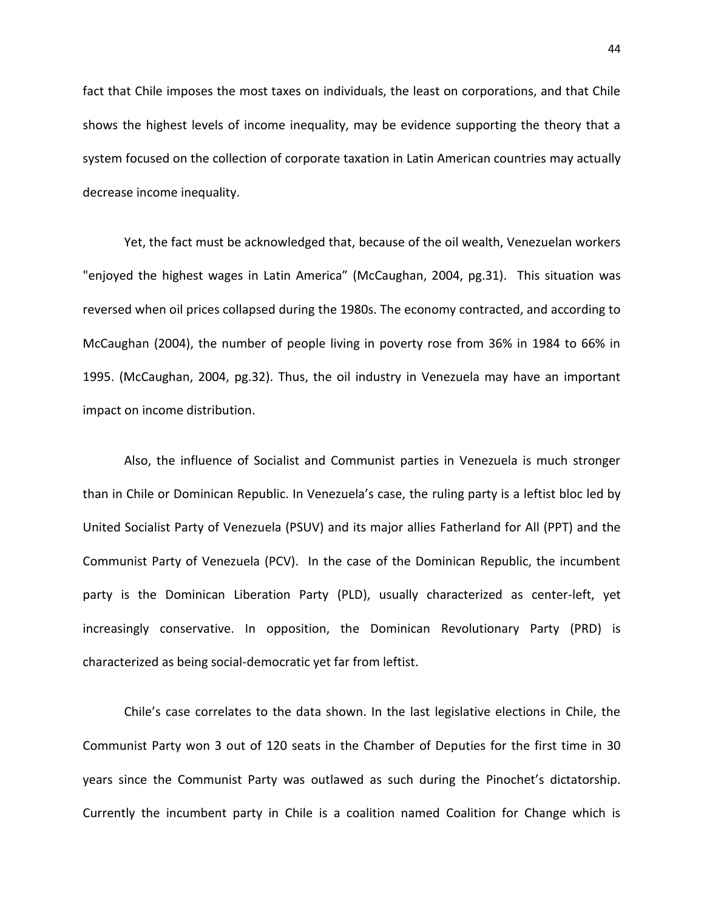fact that Chile imposes the most taxes on individuals, the least on corporations, and that Chile shows the highest levels of income inequality, may be evidence supporting the theory that a system focused on the collection of corporate taxation in Latin American countries may actually decrease income inequality.

Yet, the fact must be acknowledged that, because of the oil wealth, Venezuelan workers "enjoyed the highest wages in Latin America" (McCaughan, 2004, pg.31). This situation was reversed when oil prices collapsed during the 1980s. The economy contracted, and according to McCaughan (2004), the number of people living in poverty rose from 36% in 1984 to 66% in 1995. (McCaughan, 2004, pg.32). Thus, the oil industry in Venezuela may have an important impact on income distribution.

Also, the influence of Socialist and Communist parties in Venezuela is much stronger than in Chile or Dominican Republic. In Venezuela's case, the ruling party is a leftist bloc led by United Socialist Party of Venezuela (PSUV) and its major allies Fatherland for All (PPT) and the Communist Party of Venezuela (PCV). In the case of the Dominican Republic, the incumbent party is the Dominican Liberation Party (PLD), usually characterized as center-left, yet increasingly conservative. In opposition, the Dominican Revolutionary Party (PRD) is characterized as being social-democratic yet far from leftist.

Chile's case correlates to the data shown. In the last legislative elections in Chile, the Communist Party won 3 out of 120 seats in the Chamber of Deputies for the first time in 30 years since the Communist Party was outlawed as such during the Pinochet's dictatorship. Currently the incumbent party in Chile is a coalition named Coalition for Change which is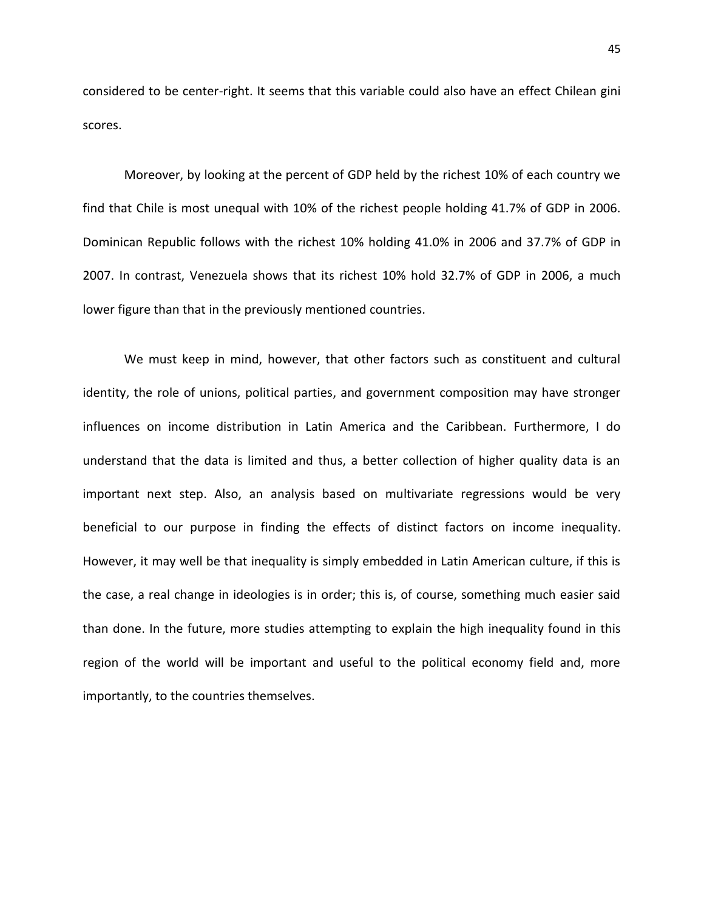considered to be center-right. It seems that this variable could also have an effect Chilean gini scores.

Moreover, by looking at the percent of GDP held by the richest 10% of each country we find that Chile is most unequal with 10% of the richest people holding 41.7% of GDP in 2006. Dominican Republic follows with the richest 10% holding 41.0% in 2006 and 37.7% of GDP in 2007. In contrast, Venezuela shows that its richest 10% hold 32.7% of GDP in 2006, a much lower figure than that in the previously mentioned countries.

We must keep in mind, however, that other factors such as constituent and cultural identity, the role of unions, political parties, and government composition may have stronger influences on income distribution in Latin America and the Caribbean. Furthermore, I do understand that the data is limited and thus, a better collection of higher quality data is an important next step. Also, an analysis based on multivariate regressions would be very beneficial to our purpose in finding the effects of distinct factors on income inequality. However, it may well be that inequality is simply embedded in Latin American culture, if this is the case, a real change in ideologies is in order; this is, of course, something much easier said than done. In the future, more studies attempting to explain the high inequality found in this region of the world will be important and useful to the political economy field and, more importantly, to the countries themselves.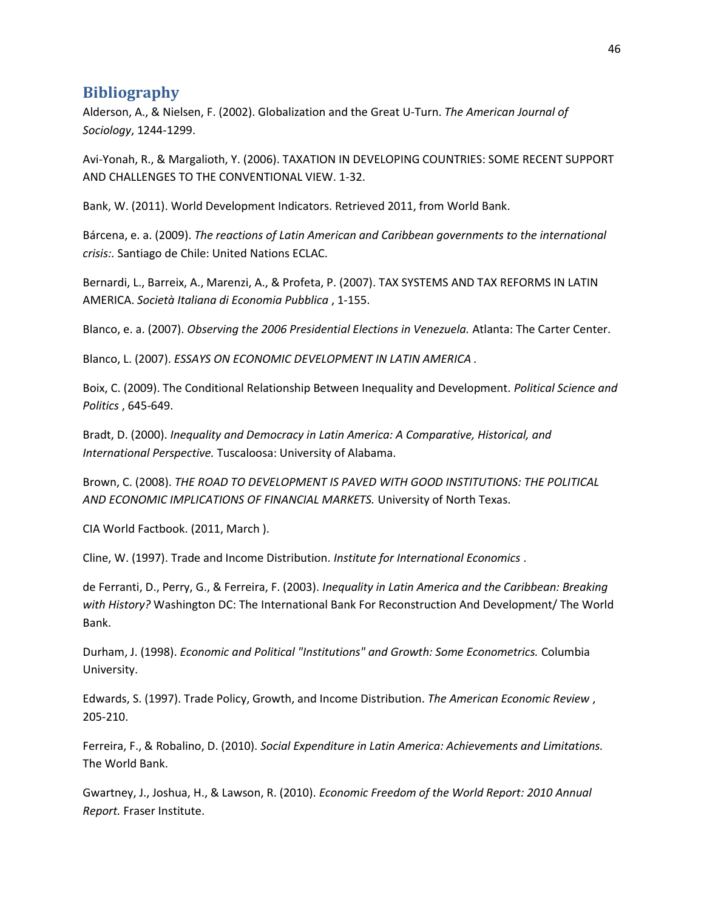# **Bibliography**

Alderson, A., & Nielsen, F. (2002). Globalization and the Great U-Turn. *The American Journal of Sociology*, 1244-1299.

Avi-Yonah, R., & Margalioth, Y. (2006). TAXATION IN DEVELOPING COUNTRIES: SOME RECENT SUPPORT AND CHALLENGES TO THE CONVENTIONAL VIEW. 1-32.

Bank, W. (2011). World Development Indicators. Retrieved 2011, from World Bank.

Bárcena, e. a. (2009). *The reactions of Latin American and Caribbean governments to the international crisis:.* Santiago de Chile: United Nations ECLAC.

Bernardi, L., Barreix, A., Marenzi, A., & Profeta, P. (2007). TAX SYSTEMS AND TAX REFORMS IN LATIN AMERICA. *Società Italiana di Economia Pubblica* , 1-155.

Blanco, e. a. (2007). *Observing the 2006 Presidential Elections in Venezuela.* Atlanta: The Carter Center.

Blanco, L. (2007). *ESSAYS ON ECONOMIC DEVELOPMENT IN LATIN AMERICA .*

Boix, C. (2009). The Conditional Relationship Between Inequality and Development. *Political Science and Politics* , 645-649.

Bradt, D. (2000). *Inequality and Democracy in Latin America: A Comparative, Historical, and International Perspective.* Tuscaloosa: University of Alabama.

Brown, C. (2008). *THE ROAD TO DEVELOPMENT IS PAVED WITH GOOD INSTITUTIONS: THE POLITICAL AND ECONOMIC IMPLICATIONS OF FINANCIAL MARKETS.* University of North Texas.

CIA World Factbook. (2011, March ).

Cline, W. (1997). Trade and Income Distribution. *Institute for International Economics* .

de Ferranti, D., Perry, G., & Ferreira, F. (2003). *Inequality in Latin America and the Caribbean: Breaking with History?* Washington DC: The International Bank For Reconstruction And Development/ The World Bank.

Durham, J. (1998). *Economic and Political "Institutions" and Growth: Some Econometrics.* Columbia University.

Edwards, S. (1997). Trade Policy, Growth, and Income Distribution. *The American Economic Review* , 205-210.

Ferreira, F., & Robalino, D. (2010). *Social Expenditure in Latin America: Achievements and Limitations.* The World Bank.

Gwartney, J., Joshua, H., & Lawson, R. (2010). *Economic Freedom of the World Report: 2010 Annual Report.* Fraser Institute.